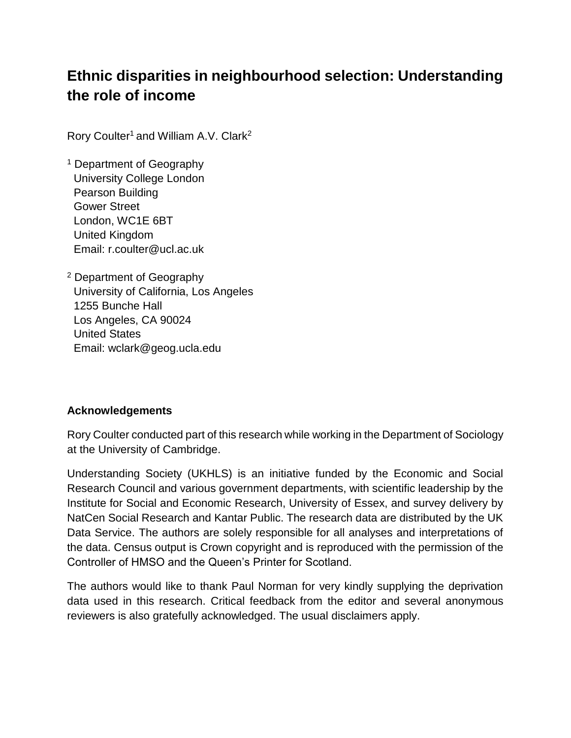# **Ethnic disparities in neighbourhood selection: Understanding the role of income**

Rory Coulter<sup>1</sup> and William A.V. Clark<sup>2</sup>

- <sup>1</sup> Department of Geography University College London Pearson Building Gower Street London, WC1E 6BT United Kingdom Email: r.coulter@ucl.ac.uk
- <sup>2</sup> Department of Geography University of California, Los Angeles 1255 Bunche Hall Los Angeles, CA 90024 United States Email: wclark@geog.ucla.edu

# **Acknowledgements**

Rory Coulter conducted part of this research while working in the Department of Sociology at the University of Cambridge.

Understanding Society (UKHLS) is an initiative funded by the Economic and Social Research Council and various government departments, with scientific leadership by the Institute for Social and Economic Research, University of Essex, and survey delivery by NatCen Social Research and Kantar Public. The research data are distributed by the UK Data Service. The authors are solely responsible for all analyses and interpretations of the data. Census output is Crown copyright and is reproduced with the permission of the Controller of HMSO and the Queen's Printer for Scotland.

The authors would like to thank Paul Norman for very kindly supplying the deprivation data used in this research. Critical feedback from the editor and several anonymous reviewers is also gratefully acknowledged. The usual disclaimers apply.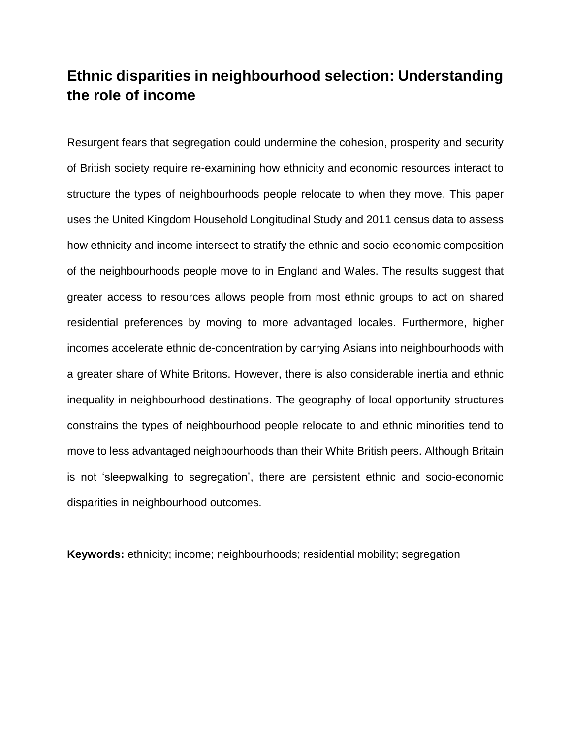# **Ethnic disparities in neighbourhood selection: Understanding the role of income**

Resurgent fears that segregation could undermine the cohesion, prosperity and security of British society require re-examining how ethnicity and economic resources interact to structure the types of neighbourhoods people relocate to when they move. This paper uses the United Kingdom Household Longitudinal Study and 2011 census data to assess how ethnicity and income intersect to stratify the ethnic and socio-economic composition of the neighbourhoods people move to in England and Wales. The results suggest that greater access to resources allows people from most ethnic groups to act on shared residential preferences by moving to more advantaged locales. Furthermore, higher incomes accelerate ethnic de-concentration by carrying Asians into neighbourhoods with a greater share of White Britons. However, there is also considerable inertia and ethnic inequality in neighbourhood destinations. The geography of local opportunity structures constrains the types of neighbourhood people relocate to and ethnic minorities tend to move to less advantaged neighbourhoods than their White British peers. Although Britain is not 'sleepwalking to segregation', there are persistent ethnic and socio-economic disparities in neighbourhood outcomes.

**Keywords:** ethnicity; income; neighbourhoods; residential mobility; segregation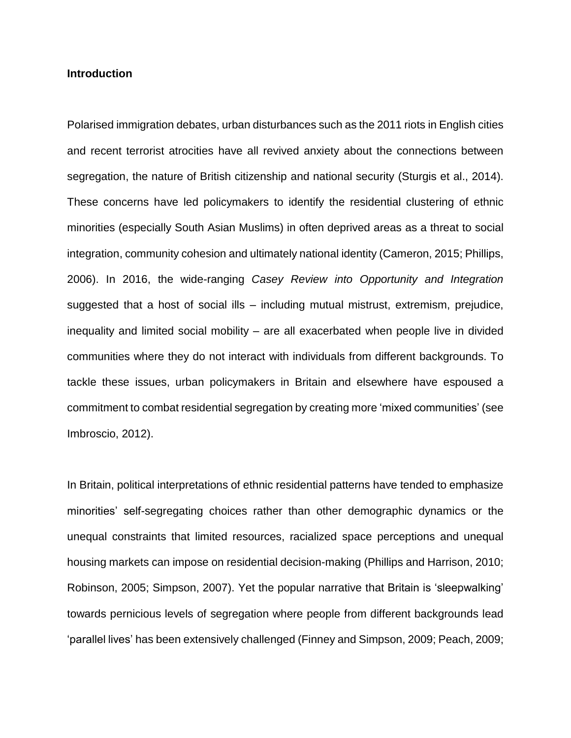#### **Introduction**

Polarised immigration debates, urban disturbances such as the 2011 riots in English cities and recent terrorist atrocities have all revived anxiety about the connections between segregation, the nature of British citizenship and national security (Sturgis et al., 2014). These concerns have led policymakers to identify the residential clustering of ethnic minorities (especially South Asian Muslims) in often deprived areas as a threat to social integration, community cohesion and ultimately national identity (Cameron, 2015; Phillips, 2006). In 2016, the wide-ranging *Casey Review into Opportunity and Integration* suggested that a host of social ills – including mutual mistrust, extremism, prejudice, inequality and limited social mobility – are all exacerbated when people live in divided communities where they do not interact with individuals from different backgrounds. To tackle these issues, urban policymakers in Britain and elsewhere have espoused a commitment to combat residential segregation by creating more 'mixed communities' (see Imbroscio, 2012).

In Britain, political interpretations of ethnic residential patterns have tended to emphasize minorities' self-segregating choices rather than other demographic dynamics or the unequal constraints that limited resources, racialized space perceptions and unequal housing markets can impose on residential decision-making (Phillips and Harrison, 2010; Robinson, 2005; Simpson, 2007). Yet the popular narrative that Britain is 'sleepwalking' towards pernicious levels of segregation where people from different backgrounds lead 'parallel lives' has been extensively challenged (Finney and Simpson, 2009; Peach, 2009;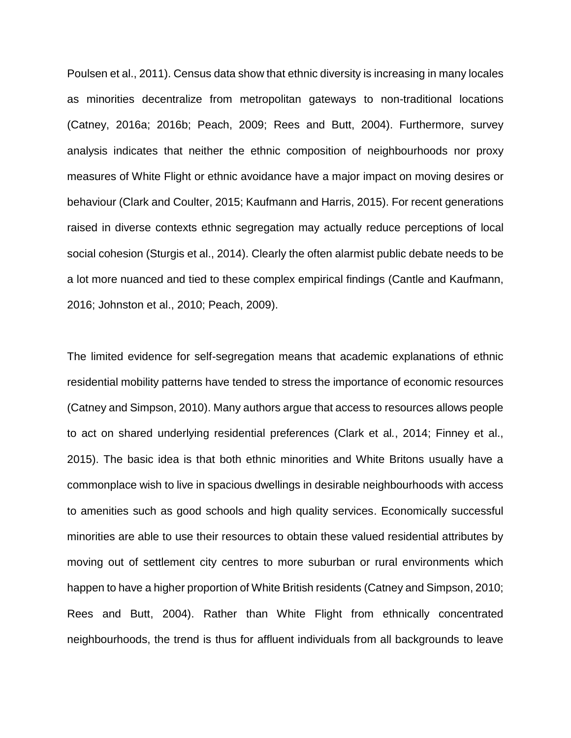Poulsen et al., 2011). Census data show that ethnic diversity is increasing in many locales as minorities decentralize from metropolitan gateways to non-traditional locations (Catney, 2016a; 2016b; Peach, 2009; Rees and Butt, 2004). Furthermore, survey analysis indicates that neither the ethnic composition of neighbourhoods nor proxy measures of White Flight or ethnic avoidance have a major impact on moving desires or behaviour (Clark and Coulter, 2015; Kaufmann and Harris, 2015). For recent generations raised in diverse contexts ethnic segregation may actually reduce perceptions of local social cohesion (Sturgis et al., 2014). Clearly the often alarmist public debate needs to be a lot more nuanced and tied to these complex empirical findings (Cantle and Kaufmann, 2016; Johnston et al., 2010; Peach, 2009).

The limited evidence for self-segregation means that academic explanations of ethnic residential mobility patterns have tended to stress the importance of economic resources (Catney and Simpson, 2010). Many authors argue that access to resources allows people to act on shared underlying residential preferences (Clark et al*.*, 2014; Finney et al., 2015). The basic idea is that both ethnic minorities and White Britons usually have a commonplace wish to live in spacious dwellings in desirable neighbourhoods with access to amenities such as good schools and high quality services. Economically successful minorities are able to use their resources to obtain these valued residential attributes by moving out of settlement city centres to more suburban or rural environments which happen to have a higher proportion of White British residents (Catney and Simpson, 2010; Rees and Butt, 2004). Rather than White Flight from ethnically concentrated neighbourhoods, the trend is thus for affluent individuals from all backgrounds to leave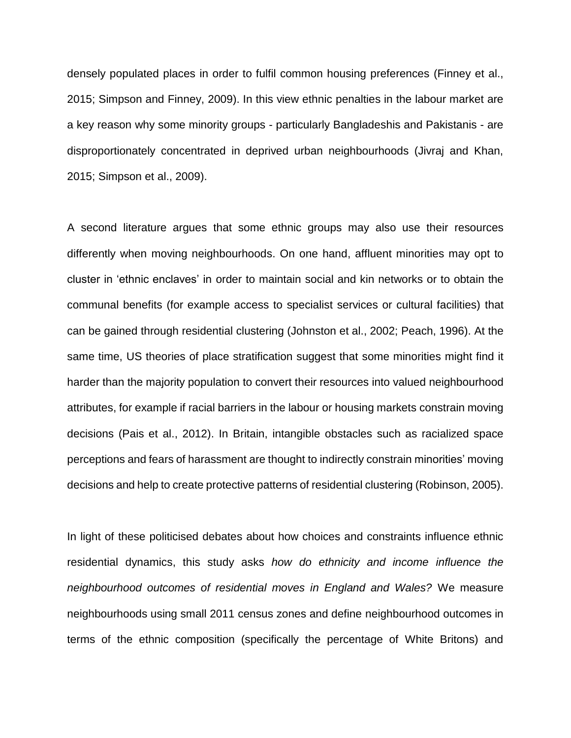densely populated places in order to fulfil common housing preferences (Finney et al., 2015; Simpson and Finney, 2009). In this view ethnic penalties in the labour market are a key reason why some minority groups - particularly Bangladeshis and Pakistanis - are disproportionately concentrated in deprived urban neighbourhoods (Jivraj and Khan, 2015; Simpson et al., 2009).

A second literature argues that some ethnic groups may also use their resources differently when moving neighbourhoods. On one hand, affluent minorities may opt to cluster in 'ethnic enclaves' in order to maintain social and kin networks or to obtain the communal benefits (for example access to specialist services or cultural facilities) that can be gained through residential clustering (Johnston et al., 2002; Peach, 1996). At the same time, US theories of place stratification suggest that some minorities might find it harder than the majority population to convert their resources into valued neighbourhood attributes, for example if racial barriers in the labour or housing markets constrain moving decisions (Pais et al., 2012). In Britain, intangible obstacles such as racialized space perceptions and fears of harassment are thought to indirectly constrain minorities' moving decisions and help to create protective patterns of residential clustering (Robinson, 2005).

In light of these politicised debates about how choices and constraints influence ethnic residential dynamics, this study asks *how do ethnicity and income influence the neighbourhood outcomes of residential moves in England and Wales?* We measure neighbourhoods using small 2011 census zones and define neighbourhood outcomes in terms of the ethnic composition (specifically the percentage of White Britons) and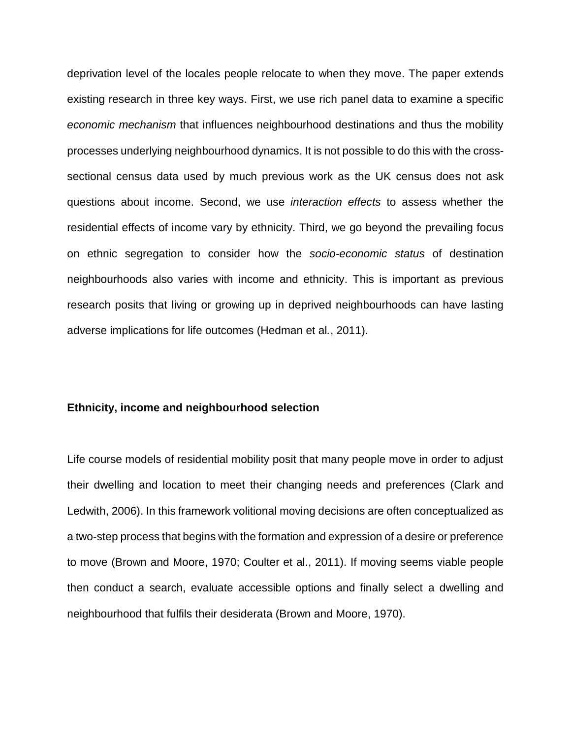deprivation level of the locales people relocate to when they move. The paper extends existing research in three key ways. First, we use rich panel data to examine a specific *economic mechanism* that influences neighbourhood destinations and thus the mobility processes underlying neighbourhood dynamics. It is not possible to do this with the crosssectional census data used by much previous work as the UK census does not ask questions about income. Second, we use *interaction effects* to assess whether the residential effects of income vary by ethnicity. Third, we go beyond the prevailing focus on ethnic segregation to consider how the *socio-economic status* of destination neighbourhoods also varies with income and ethnicity. This is important as previous research posits that living or growing up in deprived neighbourhoods can have lasting adverse implications for life outcomes (Hedman et al*.*, 2011).

#### **Ethnicity, income and neighbourhood selection**

Life course models of residential mobility posit that many people move in order to adjust their dwelling and location to meet their changing needs and preferences (Clark and Ledwith, 2006). In this framework volitional moving decisions are often conceptualized as a two-step process that begins with the formation and expression of a desire or preference to move (Brown and Moore, 1970; Coulter et al., 2011). If moving seems viable people then conduct a search, evaluate accessible options and finally select a dwelling and neighbourhood that fulfils their desiderata (Brown and Moore, 1970).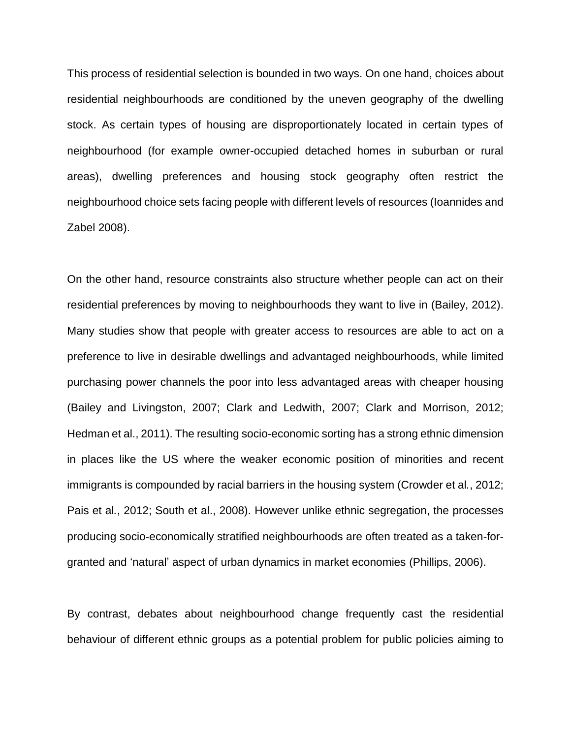This process of residential selection is bounded in two ways. On one hand, choices about residential neighbourhoods are conditioned by the uneven geography of the dwelling stock. As certain types of housing are disproportionately located in certain types of neighbourhood (for example owner-occupied detached homes in suburban or rural areas), dwelling preferences and housing stock geography often restrict the neighbourhood choice sets facing people with different levels of resources (Ioannides and Zabel 2008).

On the other hand, resource constraints also structure whether people can act on their residential preferences by moving to neighbourhoods they want to live in (Bailey, 2012). Many studies show that people with greater access to resources are able to act on a preference to live in desirable dwellings and advantaged neighbourhoods, while limited purchasing power channels the poor into less advantaged areas with cheaper housing (Bailey and Livingston, 2007; Clark and Ledwith, 2007; Clark and Morrison, 2012; Hedman et al., 2011). The resulting socio-economic sorting has a strong ethnic dimension in places like the US where the weaker economic position of minorities and recent immigrants is compounded by racial barriers in the housing system (Crowder et al*.*, 2012; Pais et al*.*, 2012; South et al., 2008). However unlike ethnic segregation, the processes producing socio-economically stratified neighbourhoods are often treated as a taken-forgranted and 'natural' aspect of urban dynamics in market economies (Phillips, 2006).

By contrast, debates about neighbourhood change frequently cast the residential behaviour of different ethnic groups as a potential problem for public policies aiming to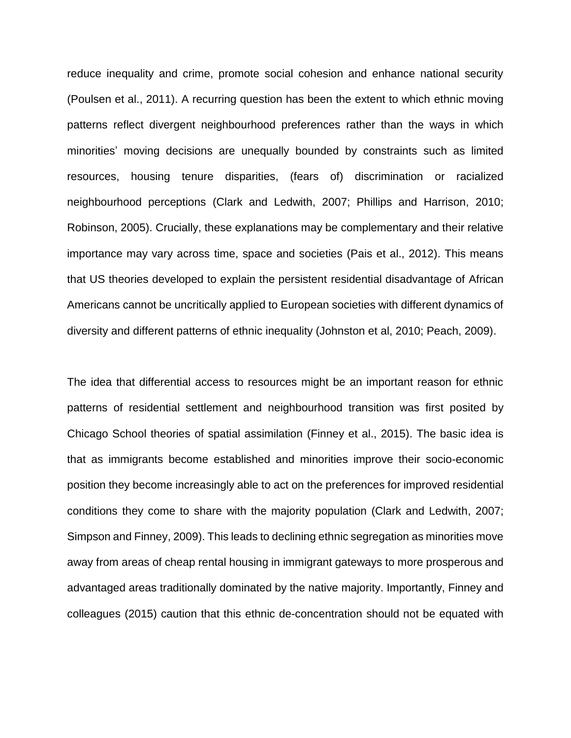reduce inequality and crime, promote social cohesion and enhance national security (Poulsen et al., 2011). A recurring question has been the extent to which ethnic moving patterns reflect divergent neighbourhood preferences rather than the ways in which minorities' moving decisions are unequally bounded by constraints such as limited resources, housing tenure disparities, (fears of) discrimination or racialized neighbourhood perceptions (Clark and Ledwith, 2007; Phillips and Harrison, 2010; Robinson, 2005). Crucially, these explanations may be complementary and their relative importance may vary across time, space and societies (Pais et al., 2012). This means that US theories developed to explain the persistent residential disadvantage of African Americans cannot be uncritically applied to European societies with different dynamics of diversity and different patterns of ethnic inequality (Johnston et al, 2010; Peach, 2009).

The idea that differential access to resources might be an important reason for ethnic patterns of residential settlement and neighbourhood transition was first posited by Chicago School theories of spatial assimilation (Finney et al., 2015). The basic idea is that as immigrants become established and minorities improve their socio-economic position they become increasingly able to act on the preferences for improved residential conditions they come to share with the majority population (Clark and Ledwith, 2007; Simpson and Finney, 2009). This leads to declining ethnic segregation as minorities move away from areas of cheap rental housing in immigrant gateways to more prosperous and advantaged areas traditionally dominated by the native majority. Importantly, Finney and colleagues (2015) caution that this ethnic de-concentration should not be equated with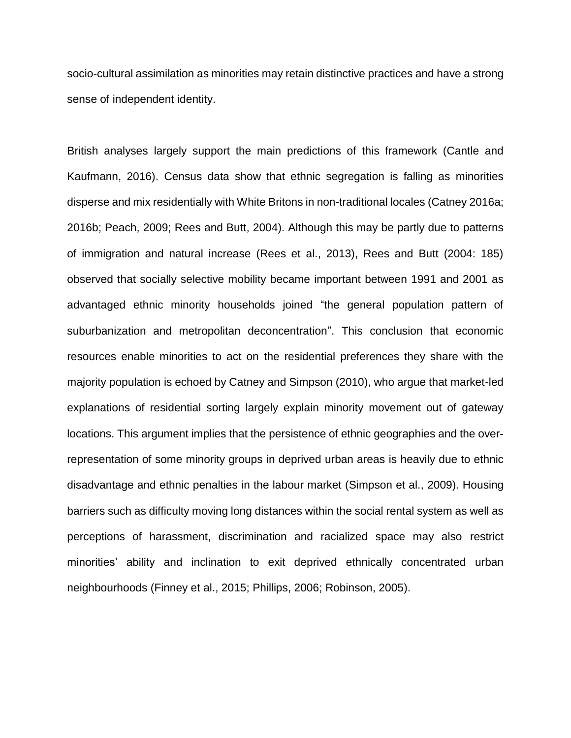socio-cultural assimilation as minorities may retain distinctive practices and have a strong sense of independent identity.

British analyses largely support the main predictions of this framework (Cantle and Kaufmann, 2016). Census data show that ethnic segregation is falling as minorities disperse and mix residentially with White Britons in non-traditional locales (Catney 2016a; 2016b; Peach, 2009; Rees and Butt, 2004). Although this may be partly due to patterns of immigration and natural increase (Rees et al., 2013), Rees and Butt (2004: 185) observed that socially selective mobility became important between 1991 and 2001 as advantaged ethnic minority households joined "the general population pattern of suburbanization and metropolitan deconcentration". This conclusion that economic resources enable minorities to act on the residential preferences they share with the majority population is echoed by Catney and Simpson (2010), who argue that market-led explanations of residential sorting largely explain minority movement out of gateway locations. This argument implies that the persistence of ethnic geographies and the overrepresentation of some minority groups in deprived urban areas is heavily due to ethnic disadvantage and ethnic penalties in the labour market (Simpson et al., 2009). Housing barriers such as difficulty moving long distances within the social rental system as well as perceptions of harassment, discrimination and racialized space may also restrict minorities' ability and inclination to exit deprived ethnically concentrated urban neighbourhoods (Finney et al., 2015; Phillips, 2006; Robinson, 2005).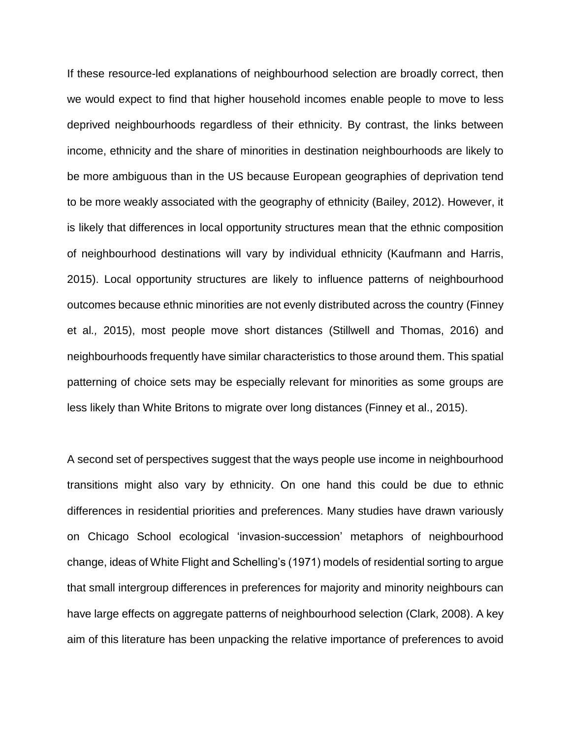If these resource-led explanations of neighbourhood selection are broadly correct, then we would expect to find that higher household incomes enable people to move to less deprived neighbourhoods regardless of their ethnicity. By contrast, the links between income, ethnicity and the share of minorities in destination neighbourhoods are likely to be more ambiguous than in the US because European geographies of deprivation tend to be more weakly associated with the geography of ethnicity (Bailey, 2012). However, it is likely that differences in local opportunity structures mean that the ethnic composition of neighbourhood destinations will vary by individual ethnicity (Kaufmann and Harris, 2015). Local opportunity structures are likely to influence patterns of neighbourhood outcomes because ethnic minorities are not evenly distributed across the country (Finney et al*.,* 2015), most people move short distances (Stillwell and Thomas, 2016) and neighbourhoods frequently have similar characteristics to those around them. This spatial patterning of choice sets may be especially relevant for minorities as some groups are less likely than White Britons to migrate over long distances (Finney et al., 2015).

A second set of perspectives suggest that the ways people use income in neighbourhood transitions might also vary by ethnicity. On one hand this could be due to ethnic differences in residential priorities and preferences. Many studies have drawn variously on Chicago School ecological 'invasion-succession' metaphors of neighbourhood change, ideas of White Flight and Schelling's (1971) models of residential sorting to argue that small intergroup differences in preferences for majority and minority neighbours can have large effects on aggregate patterns of neighbourhood selection (Clark, 2008). A key aim of this literature has been unpacking the relative importance of preferences to avoid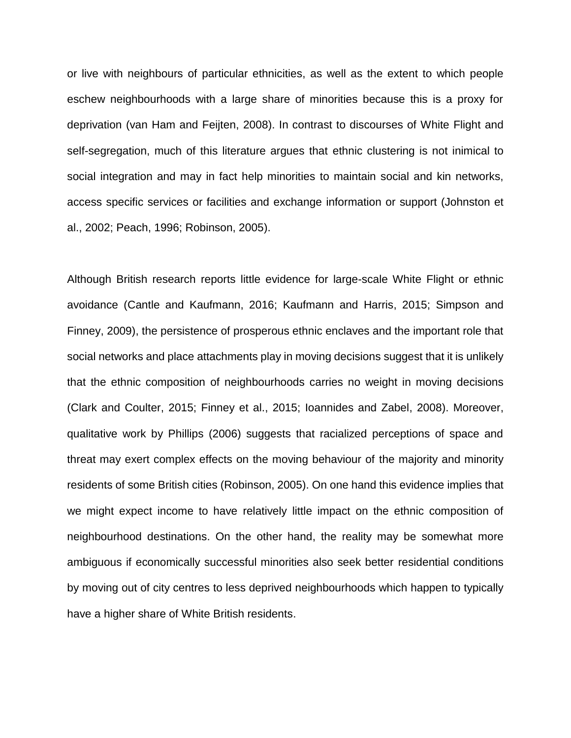or live with neighbours of particular ethnicities, as well as the extent to which people eschew neighbourhoods with a large share of minorities because this is a proxy for deprivation (van Ham and Feijten, 2008). In contrast to discourses of White Flight and self-segregation, much of this literature argues that ethnic clustering is not inimical to social integration and may in fact help minorities to maintain social and kin networks, access specific services or facilities and exchange information or support (Johnston et al., 2002; Peach, 1996; Robinson, 2005).

Although British research reports little evidence for large-scale White Flight or ethnic avoidance (Cantle and Kaufmann, 2016; Kaufmann and Harris, 2015; Simpson and Finney, 2009), the persistence of prosperous ethnic enclaves and the important role that social networks and place attachments play in moving decisions suggest that it is unlikely that the ethnic composition of neighbourhoods carries no weight in moving decisions (Clark and Coulter, 2015; Finney et al., 2015; Ioannides and Zabel, 2008). Moreover, qualitative work by Phillips (2006) suggests that racialized perceptions of space and threat may exert complex effects on the moving behaviour of the majority and minority residents of some British cities (Robinson, 2005). On one hand this evidence implies that we might expect income to have relatively little impact on the ethnic composition of neighbourhood destinations. On the other hand, the reality may be somewhat more ambiguous if economically successful minorities also seek better residential conditions by moving out of city centres to less deprived neighbourhoods which happen to typically have a higher share of White British residents.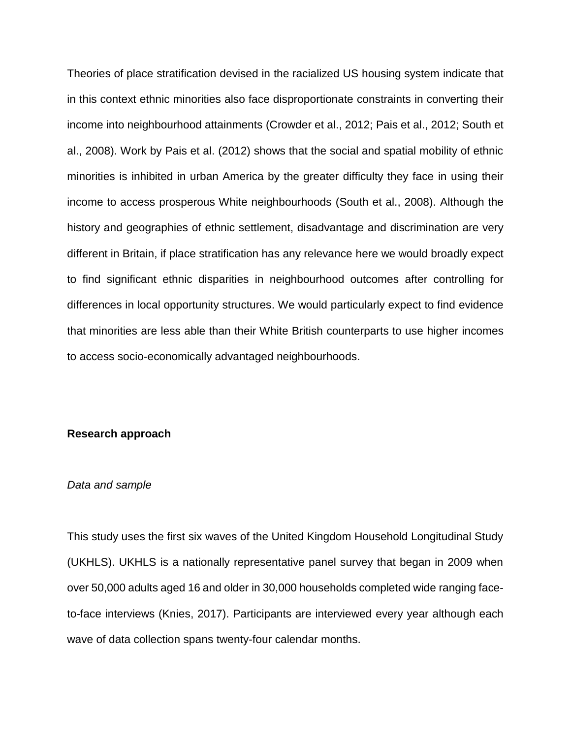Theories of place stratification devised in the racialized US housing system indicate that in this context ethnic minorities also face disproportionate constraints in converting their income into neighbourhood attainments (Crowder et al., 2012; Pais et al., 2012; South et al., 2008). Work by Pais et al. (2012) shows that the social and spatial mobility of ethnic minorities is inhibited in urban America by the greater difficulty they face in using their income to access prosperous White neighbourhoods (South et al., 2008). Although the history and geographies of ethnic settlement, disadvantage and discrimination are very different in Britain, if place stratification has any relevance here we would broadly expect to find significant ethnic disparities in neighbourhood outcomes after controlling for differences in local opportunity structures. We would particularly expect to find evidence that minorities are less able than their White British counterparts to use higher incomes to access socio-economically advantaged neighbourhoods.

#### **Research approach**

#### *Data and sample*

This study uses the first six waves of the United Kingdom Household Longitudinal Study (UKHLS). UKHLS is a nationally representative panel survey that began in 2009 when over 50,000 adults aged 16 and older in 30,000 households completed wide ranging faceto-face interviews (Knies, 2017). Participants are interviewed every year although each wave of data collection spans twenty-four calendar months.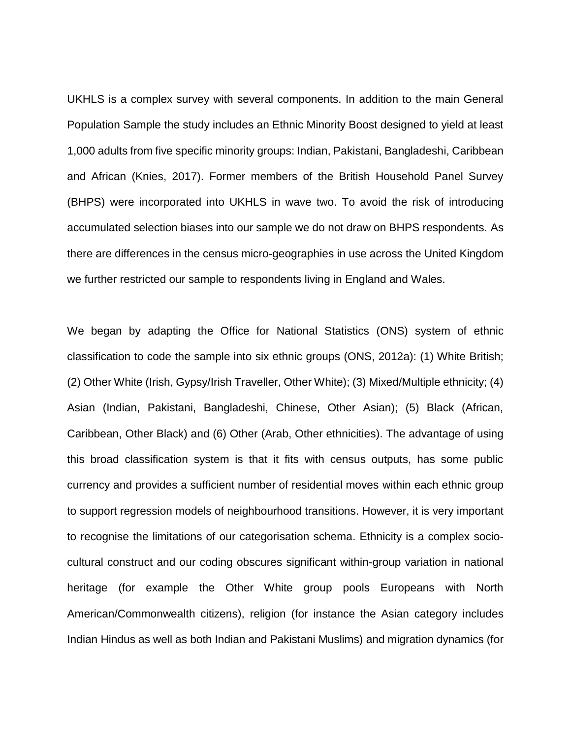UKHLS is a complex survey with several components. In addition to the main General Population Sample the study includes an Ethnic Minority Boost designed to yield at least 1,000 adults from five specific minority groups: Indian, Pakistani, Bangladeshi, Caribbean and African (Knies, 2017). Former members of the British Household Panel Survey (BHPS) were incorporated into UKHLS in wave two. To avoid the risk of introducing accumulated selection biases into our sample we do not draw on BHPS respondents. As there are differences in the census micro-geographies in use across the United Kingdom we further restricted our sample to respondents living in England and Wales.

We began by adapting the Office for National Statistics (ONS) system of ethnic classification to code the sample into six ethnic groups (ONS, 2012a): (1) White British; (2) Other White (Irish, Gypsy/Irish Traveller, Other White); (3) Mixed/Multiple ethnicity; (4) Asian (Indian, Pakistani, Bangladeshi, Chinese, Other Asian); (5) Black (African, Caribbean, Other Black) and (6) Other (Arab, Other ethnicities). The advantage of using this broad classification system is that it fits with census outputs, has some public currency and provides a sufficient number of residential moves within each ethnic group to support regression models of neighbourhood transitions. However, it is very important to recognise the limitations of our categorisation schema. Ethnicity is a complex sociocultural construct and our coding obscures significant within-group variation in national heritage (for example the Other White group pools Europeans with North American/Commonwealth citizens), religion (for instance the Asian category includes Indian Hindus as well as both Indian and Pakistani Muslims) and migration dynamics (for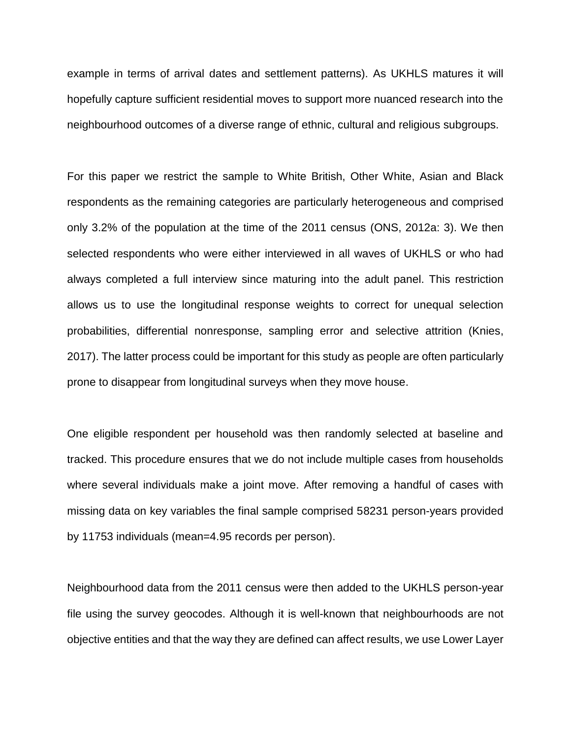example in terms of arrival dates and settlement patterns). As UKHLS matures it will hopefully capture sufficient residential moves to support more nuanced research into the neighbourhood outcomes of a diverse range of ethnic, cultural and religious subgroups.

For this paper we restrict the sample to White British, Other White, Asian and Black respondents as the remaining categories are particularly heterogeneous and comprised only 3.2% of the population at the time of the 2011 census (ONS, 2012a: 3). We then selected respondents who were either interviewed in all waves of UKHLS or who had always completed a full interview since maturing into the adult panel. This restriction allows us to use the longitudinal response weights to correct for unequal selection probabilities, differential nonresponse, sampling error and selective attrition (Knies, 2017). The latter process could be important for this study as people are often particularly prone to disappear from longitudinal surveys when they move house.

One eligible respondent per household was then randomly selected at baseline and tracked. This procedure ensures that we do not include multiple cases from households where several individuals make a joint move. After removing a handful of cases with missing data on key variables the final sample comprised 58231 person-years provided by 11753 individuals (mean=4.95 records per person).

Neighbourhood data from the 2011 census were then added to the UKHLS person-year file using the survey geocodes. Although it is well-known that neighbourhoods are not objective entities and that the way they are defined can affect results, we use Lower Layer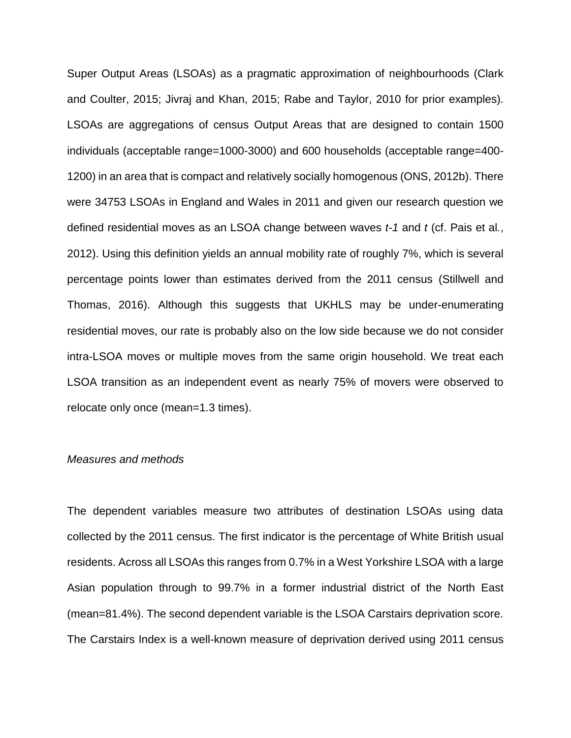Super Output Areas (LSOAs) as a pragmatic approximation of neighbourhoods (Clark and Coulter, 2015; Jivraj and Khan, 2015; Rabe and Taylor, 2010 for prior examples). LSOAs are aggregations of census Output Areas that are designed to contain 1500 individuals (acceptable range=1000-3000) and 600 households (acceptable range=400- 1200) in an area that is compact and relatively socially homogenous (ONS, 2012b). There were 34753 LSOAs in England and Wales in 2011 and given our research question we defined residential moves as an LSOA change between waves *t-1* and *t* (cf. Pais et al*.*, 2012). Using this definition yields an annual mobility rate of roughly 7%, which is several percentage points lower than estimates derived from the 2011 census (Stillwell and Thomas, 2016). Although this suggests that UKHLS may be under-enumerating residential moves, our rate is probably also on the low side because we do not consider intra-LSOA moves or multiple moves from the same origin household. We treat each LSOA transition as an independent event as nearly 75% of movers were observed to relocate only once (mean=1.3 times).

#### *Measures and methods*

The dependent variables measure two attributes of destination LSOAs using data collected by the 2011 census. The first indicator is the percentage of White British usual residents. Across all LSOAs this ranges from 0.7% in a West Yorkshire LSOA with a large Asian population through to 99.7% in a former industrial district of the North East (mean=81.4%). The second dependent variable is the LSOA Carstairs deprivation score. The Carstairs Index is a well-known measure of deprivation derived using 2011 census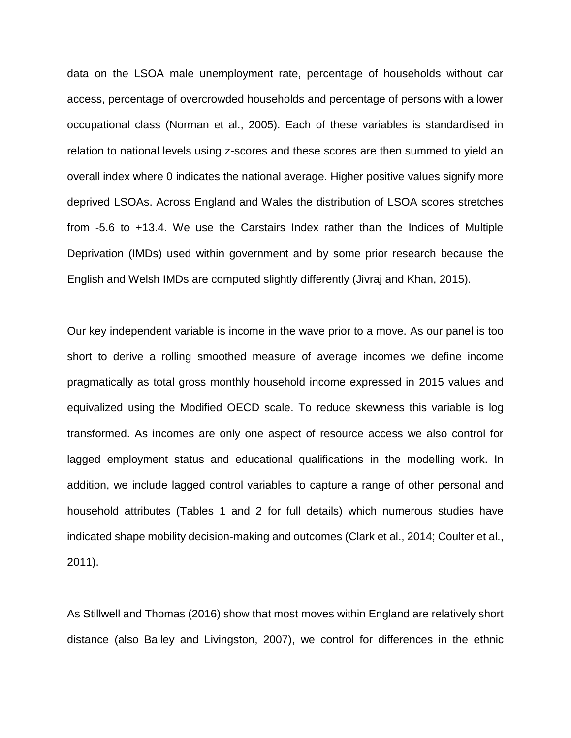data on the LSOA male unemployment rate, percentage of households without car access, percentage of overcrowded households and percentage of persons with a lower occupational class (Norman et al., 2005). Each of these variables is standardised in relation to national levels using z-scores and these scores are then summed to yield an overall index where 0 indicates the national average. Higher positive values signify more deprived LSOAs. Across England and Wales the distribution of LSOA scores stretches from -5.6 to +13.4. We use the Carstairs Index rather than the Indices of Multiple Deprivation (IMDs) used within government and by some prior research because the English and Welsh IMDs are computed slightly differently (Jivraj and Khan, 2015).

Our key independent variable is income in the wave prior to a move. As our panel is too short to derive a rolling smoothed measure of average incomes we define income pragmatically as total gross monthly household income expressed in 2015 values and equivalized using the Modified OECD scale. To reduce skewness this variable is log transformed. As incomes are only one aspect of resource access we also control for lagged employment status and educational qualifications in the modelling work. In addition, we include lagged control variables to capture a range of other personal and household attributes (Tables 1 and 2 for full details) which numerous studies have indicated shape mobility decision-making and outcomes (Clark et al., 2014; Coulter et al., 2011).

As Stillwell and Thomas (2016) show that most moves within England are relatively short distance (also Bailey and Livingston, 2007), we control for differences in the ethnic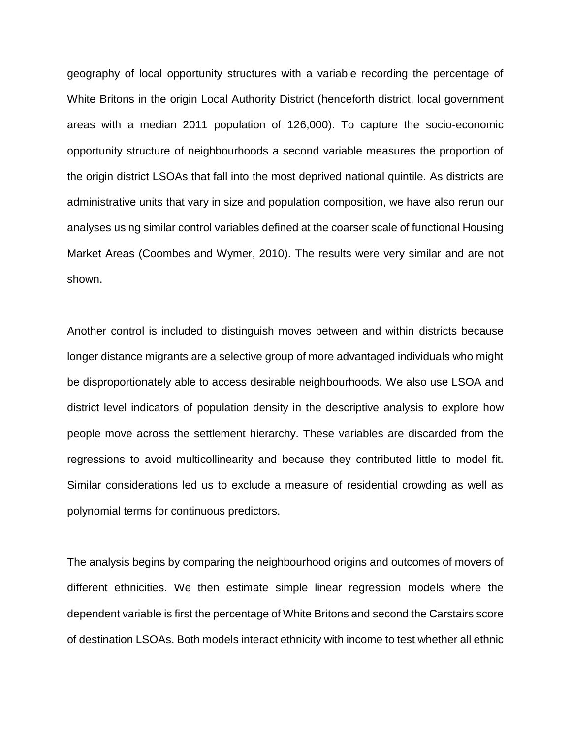geography of local opportunity structures with a variable recording the percentage of White Britons in the origin Local Authority District (henceforth district, local government areas with a median 2011 population of 126,000). To capture the socio-economic opportunity structure of neighbourhoods a second variable measures the proportion of the origin district LSOAs that fall into the most deprived national quintile. As districts are administrative units that vary in size and population composition, we have also rerun our analyses using similar control variables defined at the coarser scale of functional Housing Market Areas (Coombes and Wymer, 2010). The results were very similar and are not shown.

Another control is included to distinguish moves between and within districts because longer distance migrants are a selective group of more advantaged individuals who might be disproportionately able to access desirable neighbourhoods. We also use LSOA and district level indicators of population density in the descriptive analysis to explore how people move across the settlement hierarchy. These variables are discarded from the regressions to avoid multicollinearity and because they contributed little to model fit. Similar considerations led us to exclude a measure of residential crowding as well as polynomial terms for continuous predictors.

The analysis begins by comparing the neighbourhood origins and outcomes of movers of different ethnicities. We then estimate simple linear regression models where the dependent variable is first the percentage of White Britons and second the Carstairs score of destination LSOAs. Both models interact ethnicity with income to test whether all ethnic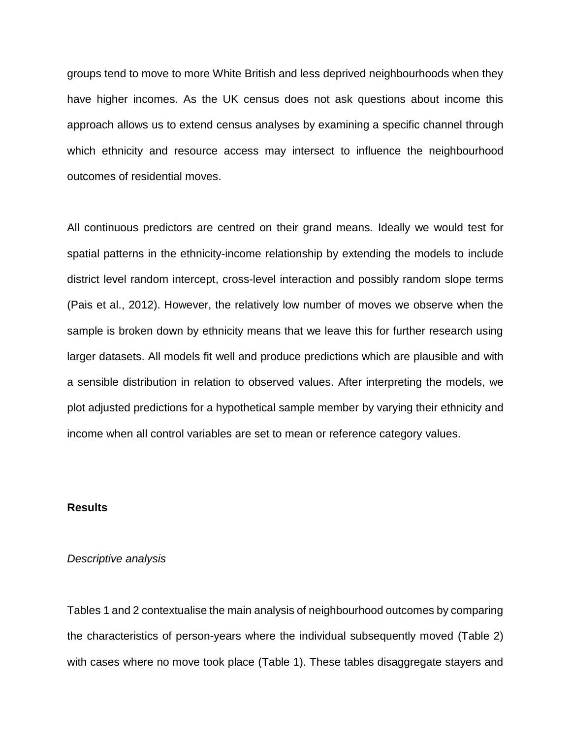groups tend to move to more White British and less deprived neighbourhoods when they have higher incomes. As the UK census does not ask questions about income this approach allows us to extend census analyses by examining a specific channel through which ethnicity and resource access may intersect to influence the neighbourhood outcomes of residential moves.

All continuous predictors are centred on their grand means. Ideally we would test for spatial patterns in the ethnicity-income relationship by extending the models to include district level random intercept, cross-level interaction and possibly random slope terms (Pais et al., 2012). However, the relatively low number of moves we observe when the sample is broken down by ethnicity means that we leave this for further research using larger datasets. All models fit well and produce predictions which are plausible and with a sensible distribution in relation to observed values. After interpreting the models, we plot adjusted predictions for a hypothetical sample member by varying their ethnicity and income when all control variables are set to mean or reference category values.

### **Results**

#### *Descriptive analysis*

Tables 1 and 2 contextualise the main analysis of neighbourhood outcomes by comparing the characteristics of person-years where the individual subsequently moved (Table 2) with cases where no move took place (Table 1). These tables disaggregate stayers and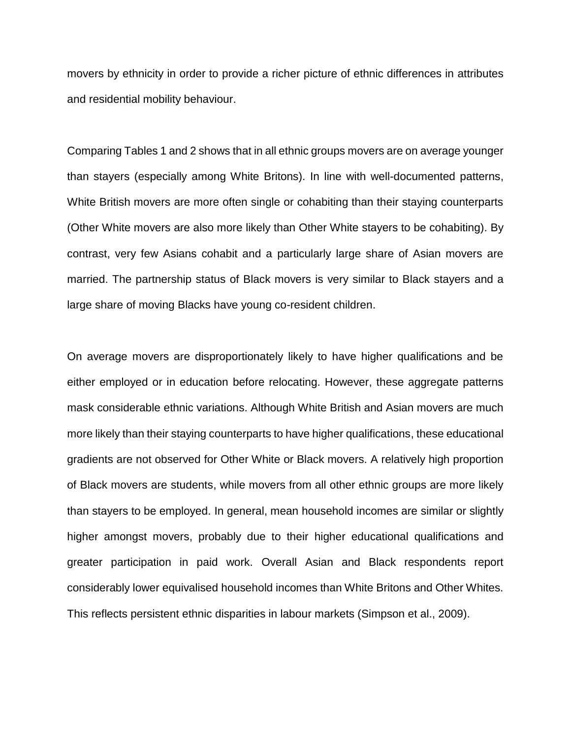movers by ethnicity in order to provide a richer picture of ethnic differences in attributes and residential mobility behaviour.

Comparing Tables 1 and 2 shows that in all ethnic groups movers are on average younger than stayers (especially among White Britons). In line with well-documented patterns, White British movers are more often single or cohabiting than their staying counterparts (Other White movers are also more likely than Other White stayers to be cohabiting). By contrast, very few Asians cohabit and a particularly large share of Asian movers are married. The partnership status of Black movers is very similar to Black stayers and a large share of moving Blacks have young co-resident children.

On average movers are disproportionately likely to have higher qualifications and be either employed or in education before relocating. However, these aggregate patterns mask considerable ethnic variations. Although White British and Asian movers are much more likely than their staying counterparts to have higher qualifications, these educational gradients are not observed for Other White or Black movers. A relatively high proportion of Black movers are students, while movers from all other ethnic groups are more likely than stayers to be employed. In general, mean household incomes are similar or slightly higher amongst movers, probably due to their higher educational qualifications and greater participation in paid work. Overall Asian and Black respondents report considerably lower equivalised household incomes than White Britons and Other Whites. This reflects persistent ethnic disparities in labour markets (Simpson et al., 2009).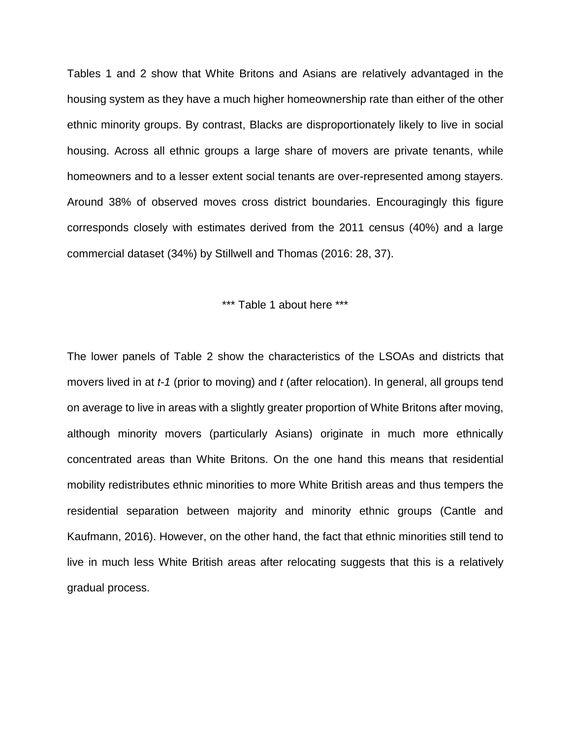Tables 1 and 2 show that White Britons and Asians are relatively advantaged in the housing system as they have a much higher homeownership rate than either of the other ethnic minority groups. By contrast, Blacks are disproportionately likely to live in social housing. Across all ethnic groups a large share of movers are private tenants, while homeowners and to a lesser extent social tenants are over-represented among stayers. Around 38% of observed moves cross district boundaries. Encouragingly this figure corresponds closely with estimates derived from the 2011 census (40%) and a large commercial dataset (34%) by Stillwell and Thomas (2016: 28, 37).

\*\*\* Table 1 about here \*\*\*

The lower panels of Table 2 show the characteristics of the LSOAs and districts that movers lived in at *t-1* (prior to moving) and *t* (after relocation). In general, all groups tend on average to live in areas with a slightly greater proportion of White Britons after moving, although minority movers (particularly Asians) originate in much more ethnically concentrated areas than White Britons. On the one hand this means that residential mobility redistributes ethnic minorities to more White British areas and thus tempers the residential separation between majority and minority ethnic groups (Cantle and Kaufmann, 2016). However, on the other hand, the fact that ethnic minorities still tend to live in much less White British areas after relocating suggests that this is a relatively gradual process.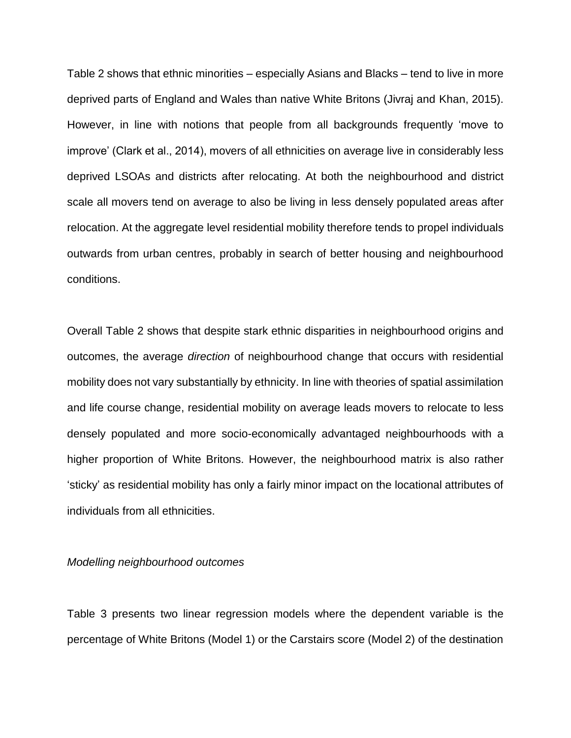Table 2 shows that ethnic minorities – especially Asians and Blacks – tend to live in more deprived parts of England and Wales than native White Britons (Jivraj and Khan, 2015). However, in line with notions that people from all backgrounds frequently 'move to improve' (Clark et al., 2014), movers of all ethnicities on average live in considerably less deprived LSOAs and districts after relocating. At both the neighbourhood and district scale all movers tend on average to also be living in less densely populated areas after relocation. At the aggregate level residential mobility therefore tends to propel individuals outwards from urban centres, probably in search of better housing and neighbourhood conditions.

Overall Table 2 shows that despite stark ethnic disparities in neighbourhood origins and outcomes, the average *direction* of neighbourhood change that occurs with residential mobility does not vary substantially by ethnicity. In line with theories of spatial assimilation and life course change, residential mobility on average leads movers to relocate to less densely populated and more socio-economically advantaged neighbourhoods with a higher proportion of White Britons. However, the neighbourhood matrix is also rather 'sticky' as residential mobility has only a fairly minor impact on the locational attributes of individuals from all ethnicities.

#### *Modelling neighbourhood outcomes*

Table 3 presents two linear regression models where the dependent variable is the percentage of White Britons (Model 1) or the Carstairs score (Model 2) of the destination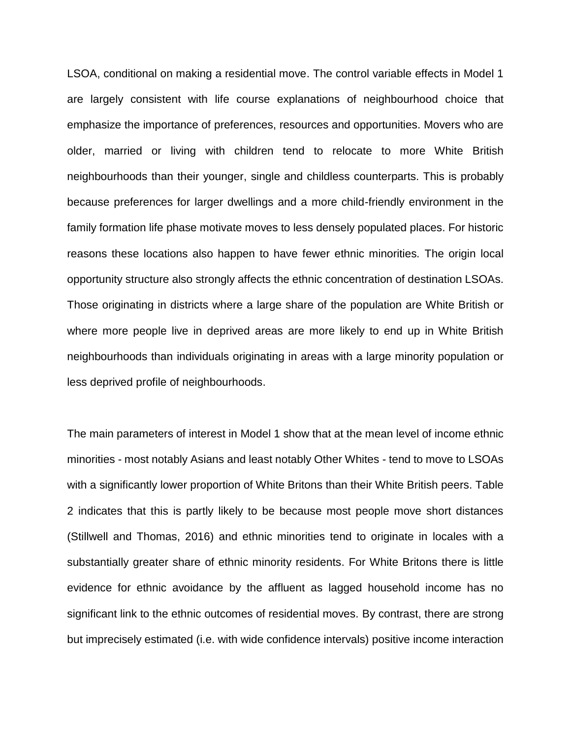LSOA, conditional on making a residential move. The control variable effects in Model 1 are largely consistent with life course explanations of neighbourhood choice that emphasize the importance of preferences, resources and opportunities. Movers who are older, married or living with children tend to relocate to more White British neighbourhoods than their younger, single and childless counterparts. This is probably because preferences for larger dwellings and a more child-friendly environment in the family formation life phase motivate moves to less densely populated places. For historic reasons these locations also happen to have fewer ethnic minorities*.* The origin local opportunity structure also strongly affects the ethnic concentration of destination LSOAs. Those originating in districts where a large share of the population are White British or where more people live in deprived areas are more likely to end up in White British neighbourhoods than individuals originating in areas with a large minority population or less deprived profile of neighbourhoods.

The main parameters of interest in Model 1 show that at the mean level of income ethnic minorities - most notably Asians and least notably Other Whites - tend to move to LSOAs with a significantly lower proportion of White Britons than their White British peers. Table 2 indicates that this is partly likely to be because most people move short distances (Stillwell and Thomas, 2016) and ethnic minorities tend to originate in locales with a substantially greater share of ethnic minority residents. For White Britons there is little evidence for ethnic avoidance by the affluent as lagged household income has no significant link to the ethnic outcomes of residential moves. By contrast, there are strong but imprecisely estimated (i.e. with wide confidence intervals) positive income interaction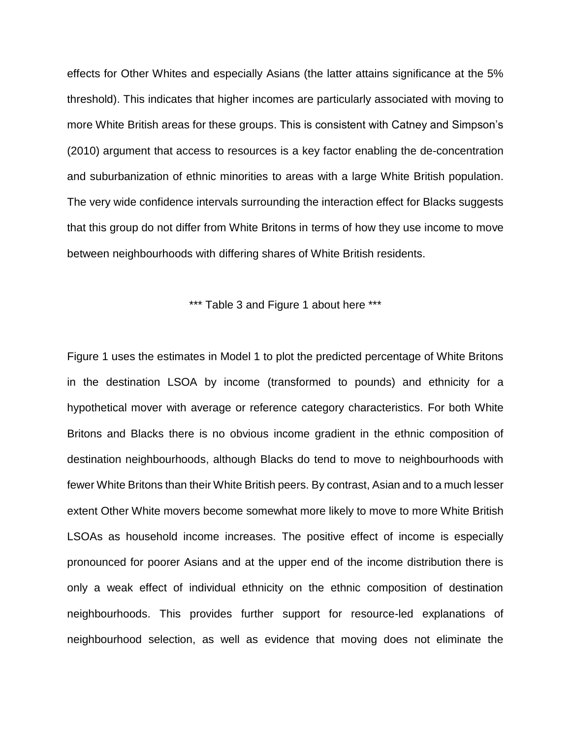effects for Other Whites and especially Asians (the latter attains significance at the 5% threshold). This indicates that higher incomes are particularly associated with moving to more White British areas for these groups. This is consistent with Catney and Simpson's (2010) argument that access to resources is a key factor enabling the de-concentration and suburbanization of ethnic minorities to areas with a large White British population. The very wide confidence intervals surrounding the interaction effect for Blacks suggests that this group do not differ from White Britons in terms of how they use income to move between neighbourhoods with differing shares of White British residents.

\*\*\* Table 3 and Figure 1 about here \*\*\*

Figure 1 uses the estimates in Model 1 to plot the predicted percentage of White Britons in the destination LSOA by income (transformed to pounds) and ethnicity for a hypothetical mover with average or reference category characteristics. For both White Britons and Blacks there is no obvious income gradient in the ethnic composition of destination neighbourhoods, although Blacks do tend to move to neighbourhoods with fewer White Britons than their White British peers. By contrast, Asian and to a much lesser extent Other White movers become somewhat more likely to move to more White British LSOAs as household income increases. The positive effect of income is especially pronounced for poorer Asians and at the upper end of the income distribution there is only a weak effect of individual ethnicity on the ethnic composition of destination neighbourhoods. This provides further support for resource-led explanations of neighbourhood selection, as well as evidence that moving does not eliminate the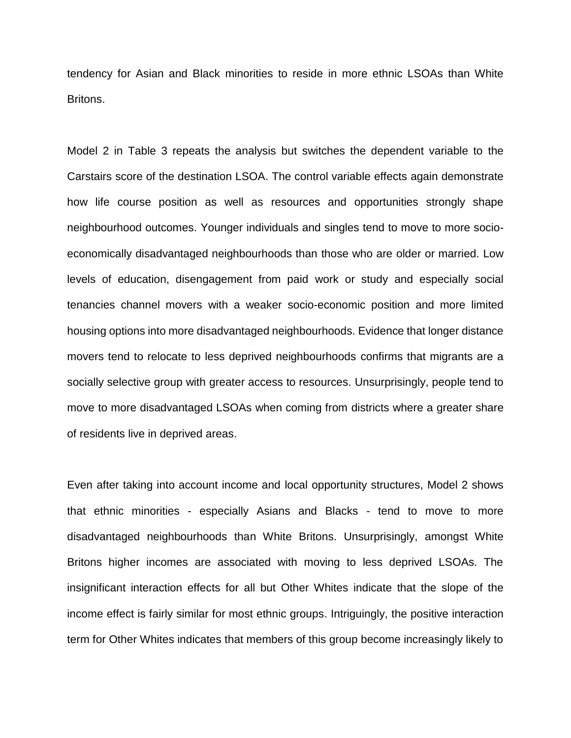tendency for Asian and Black minorities to reside in more ethnic LSOAs than White Britons.

Model 2 in Table 3 repeats the analysis but switches the dependent variable to the Carstairs score of the destination LSOA. The control variable effects again demonstrate how life course position as well as resources and opportunities strongly shape neighbourhood outcomes. Younger individuals and singles tend to move to more socioeconomically disadvantaged neighbourhoods than those who are older or married. Low levels of education, disengagement from paid work or study and especially social tenancies channel movers with a weaker socio-economic position and more limited housing options into more disadvantaged neighbourhoods. Evidence that longer distance movers tend to relocate to less deprived neighbourhoods confirms that migrants are a socially selective group with greater access to resources. Unsurprisingly, people tend to move to more disadvantaged LSOAs when coming from districts where a greater share of residents live in deprived areas.

Even after taking into account income and local opportunity structures, Model 2 shows that ethnic minorities - especially Asians and Blacks - tend to move to more disadvantaged neighbourhoods than White Britons. Unsurprisingly, amongst White Britons higher incomes are associated with moving to less deprived LSOAs. The insignificant interaction effects for all but Other Whites indicate that the slope of the income effect is fairly similar for most ethnic groups. Intriguingly, the positive interaction term for Other Whites indicates that members of this group become increasingly likely to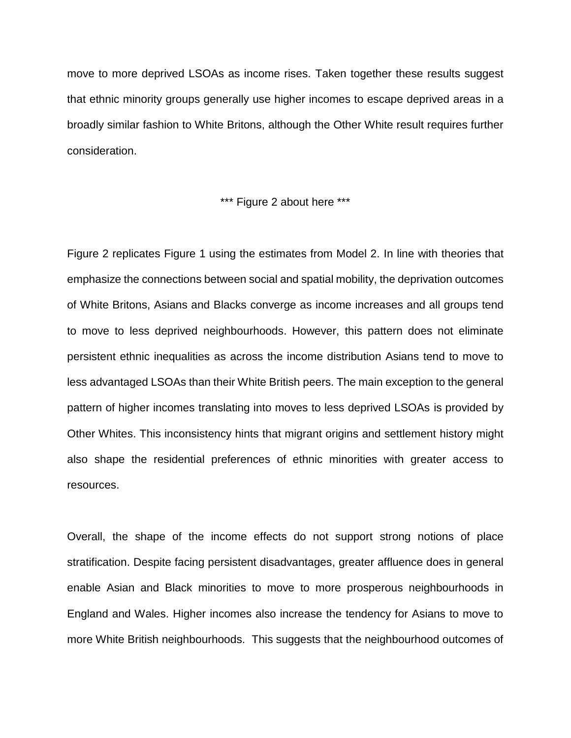move to more deprived LSOAs as income rises. Taken together these results suggest that ethnic minority groups generally use higher incomes to escape deprived areas in a broadly similar fashion to White Britons, although the Other White result requires further consideration.

\*\*\* Figure 2 about here \*\*\*

Figure 2 replicates Figure 1 using the estimates from Model 2. In line with theories that emphasize the connections between social and spatial mobility, the deprivation outcomes of White Britons, Asians and Blacks converge as income increases and all groups tend to move to less deprived neighbourhoods. However, this pattern does not eliminate persistent ethnic inequalities as across the income distribution Asians tend to move to less advantaged LSOAs than their White British peers. The main exception to the general pattern of higher incomes translating into moves to less deprived LSOAs is provided by Other Whites. This inconsistency hints that migrant origins and settlement history might also shape the residential preferences of ethnic minorities with greater access to resources.

Overall, the shape of the income effects do not support strong notions of place stratification. Despite facing persistent disadvantages, greater affluence does in general enable Asian and Black minorities to move to more prosperous neighbourhoods in England and Wales. Higher incomes also increase the tendency for Asians to move to more White British neighbourhoods. This suggests that the neighbourhood outcomes of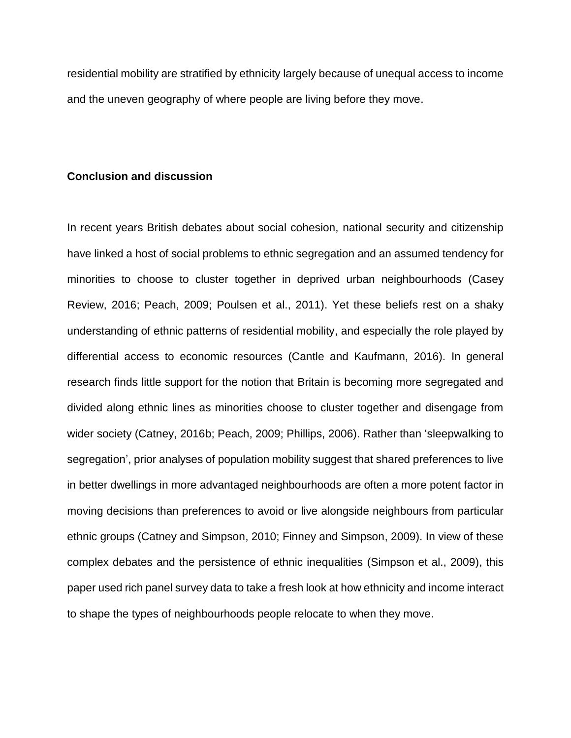residential mobility are stratified by ethnicity largely because of unequal access to income and the uneven geography of where people are living before they move.

#### **Conclusion and discussion**

In recent years British debates about social cohesion, national security and citizenship have linked a host of social problems to ethnic segregation and an assumed tendency for minorities to choose to cluster together in deprived urban neighbourhoods (Casey Review, 2016; Peach, 2009; Poulsen et al., 2011). Yet these beliefs rest on a shaky understanding of ethnic patterns of residential mobility, and especially the role played by differential access to economic resources (Cantle and Kaufmann, 2016). In general research finds little support for the notion that Britain is becoming more segregated and divided along ethnic lines as minorities choose to cluster together and disengage from wider society (Catney, 2016b; Peach, 2009; Phillips, 2006). Rather than 'sleepwalking to segregation', prior analyses of population mobility suggest that shared preferences to live in better dwellings in more advantaged neighbourhoods are often a more potent factor in moving decisions than preferences to avoid or live alongside neighbours from particular ethnic groups (Catney and Simpson, 2010; Finney and Simpson, 2009). In view of these complex debates and the persistence of ethnic inequalities (Simpson et al., 2009), this paper used rich panel survey data to take a fresh look at how ethnicity and income interact to shape the types of neighbourhoods people relocate to when they move.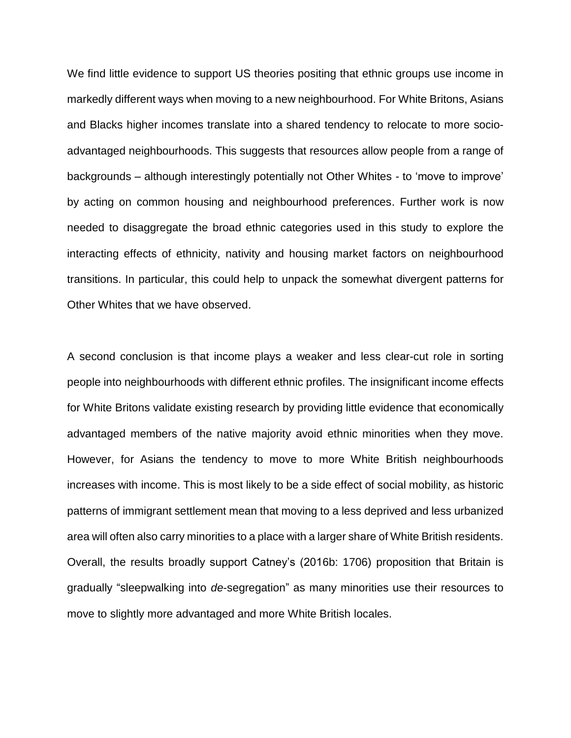We find little evidence to support US theories positing that ethnic groups use income in markedly different ways when moving to a new neighbourhood. For White Britons, Asians and Blacks higher incomes translate into a shared tendency to relocate to more socioadvantaged neighbourhoods. This suggests that resources allow people from a range of backgrounds – although interestingly potentially not Other Whites - to 'move to improve' by acting on common housing and neighbourhood preferences. Further work is now needed to disaggregate the broad ethnic categories used in this study to explore the interacting effects of ethnicity, nativity and housing market factors on neighbourhood transitions. In particular, this could help to unpack the somewhat divergent patterns for Other Whites that we have observed.

A second conclusion is that income plays a weaker and less clear-cut role in sorting people into neighbourhoods with different ethnic profiles. The insignificant income effects for White Britons validate existing research by providing little evidence that economically advantaged members of the native majority avoid ethnic minorities when they move. However, for Asians the tendency to move to more White British neighbourhoods increases with income. This is most likely to be a side effect of social mobility, as historic patterns of immigrant settlement mean that moving to a less deprived and less urbanized area will often also carry minorities to a place with a larger share of White British residents. Overall, the results broadly support Catney's (2016b: 1706) proposition that Britain is gradually "sleepwalking into *de*-segregation" as many minorities use their resources to move to slightly more advantaged and more White British locales.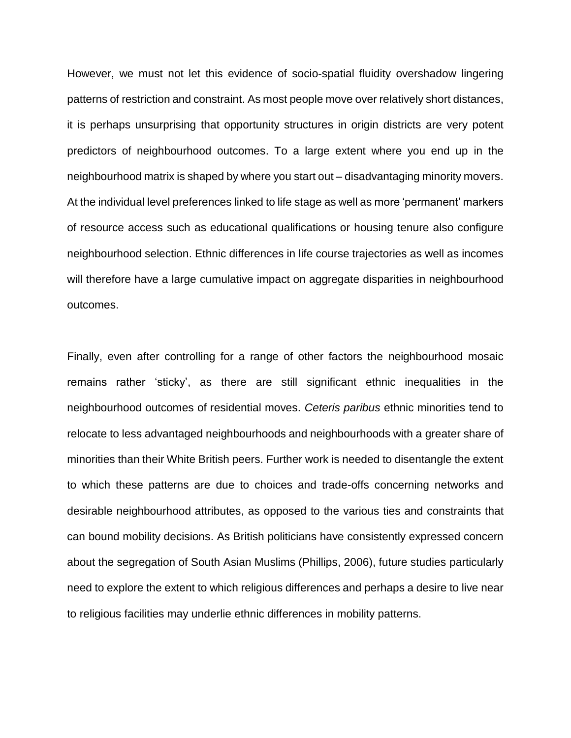However, we must not let this evidence of socio-spatial fluidity overshadow lingering patterns of restriction and constraint. As most people move over relatively short distances, it is perhaps unsurprising that opportunity structures in origin districts are very potent predictors of neighbourhood outcomes. To a large extent where you end up in the neighbourhood matrix is shaped by where you start out – disadvantaging minority movers. At the individual level preferences linked to life stage as well as more 'permanent' markers of resource access such as educational qualifications or housing tenure also configure neighbourhood selection. Ethnic differences in life course trajectories as well as incomes will therefore have a large cumulative impact on aggregate disparities in neighbourhood outcomes.

Finally, even after controlling for a range of other factors the neighbourhood mosaic remains rather 'sticky', as there are still significant ethnic inequalities in the neighbourhood outcomes of residential moves. *Ceteris paribus* ethnic minorities tend to relocate to less advantaged neighbourhoods and neighbourhoods with a greater share of minorities than their White British peers. Further work is needed to disentangle the extent to which these patterns are due to choices and trade-offs concerning networks and desirable neighbourhood attributes, as opposed to the various ties and constraints that can bound mobility decisions. As British politicians have consistently expressed concern about the segregation of South Asian Muslims (Phillips, 2006), future studies particularly need to explore the extent to which religious differences and perhaps a desire to live near to religious facilities may underlie ethnic differences in mobility patterns.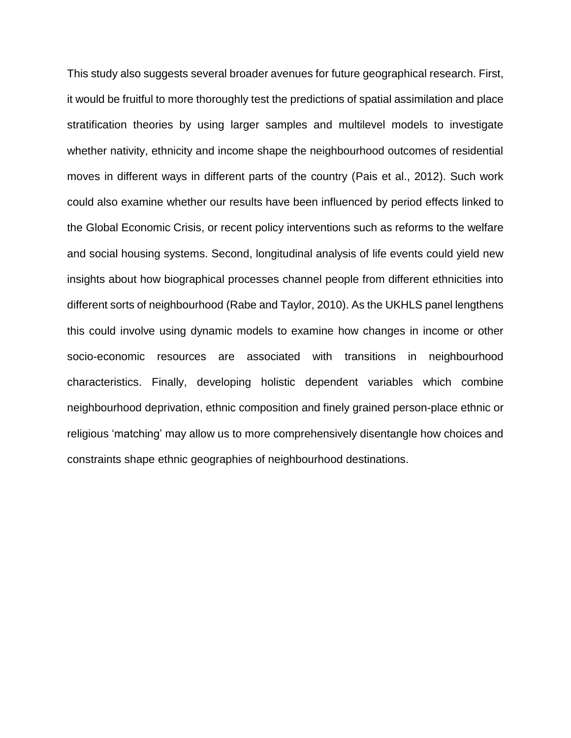This study also suggests several broader avenues for future geographical research. First, it would be fruitful to more thoroughly test the predictions of spatial assimilation and place stratification theories by using larger samples and multilevel models to investigate whether nativity, ethnicity and income shape the neighbourhood outcomes of residential moves in different ways in different parts of the country (Pais et al., 2012). Such work could also examine whether our results have been influenced by period effects linked to the Global Economic Crisis, or recent policy interventions such as reforms to the welfare and social housing systems. Second, longitudinal analysis of life events could yield new insights about how biographical processes channel people from different ethnicities into different sorts of neighbourhood (Rabe and Taylor, 2010). As the UKHLS panel lengthens this could involve using dynamic models to examine how changes in income or other socio-economic resources are associated with transitions in neighbourhood characteristics. Finally, developing holistic dependent variables which combine neighbourhood deprivation, ethnic composition and finely grained person-place ethnic or religious 'matching' may allow us to more comprehensively disentangle how choices and constraints shape ethnic geographies of neighbourhood destinations.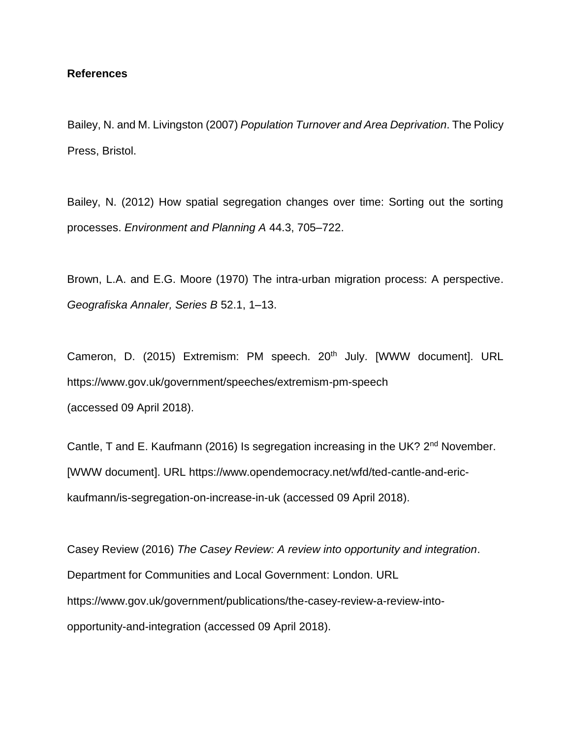### **References**

Bailey, N. and M. Livingston (2007) *Population Turnover and Area Deprivation*. The Policy Press, Bristol.

Bailey, N. (2012) How spatial segregation changes over time: Sorting out the sorting processes. *Environment and Planning A* 44.3, 705–722.

Brown, L.A. and E.G. Moore (1970) The intra-urban migration process: A perspective. *Geografiska Annaler, Series B* 52.1, 1–13.

Cameron, D. (2015) Extremism: PM speech. 20<sup>th</sup> July. [WWW document]. URL https://www.gov.uk/government/speeches/extremism-pm-speech (accessed 09 April 2018).

Cantle, T and E. Kaufmann (2016) Is segregation increasing in the UK? 2<sup>nd</sup> November. [WWW document]. URL https://www.opendemocracy.net/wfd/ted-cantle-and-erickaufmann/is-segregation-on-increase-in-uk (accessed 09 April 2018).

Casey Review (2016) *The Casey Review: A review into opportunity and integration*. Department for Communities and Local Government: London. URL https://www.gov.uk/government/publications/the-casey-review-a-review-intoopportunity-and-integration (accessed 09 April 2018).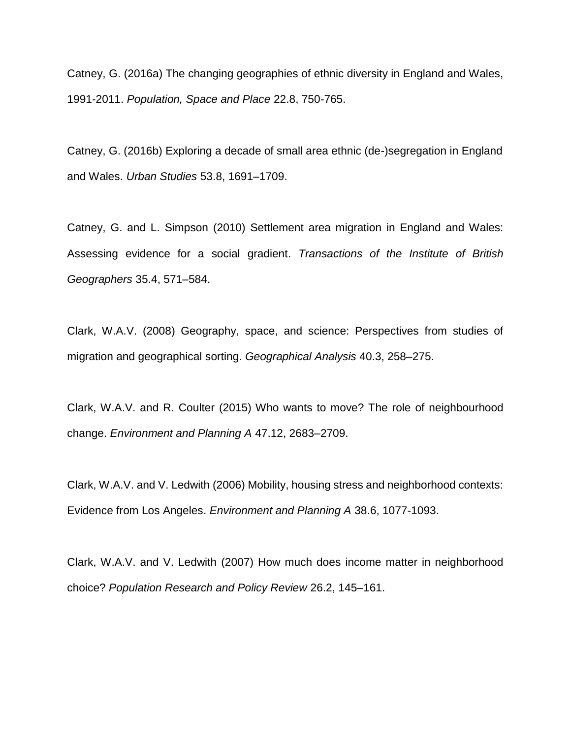Catney, G. (2016a) The changing geographies of ethnic diversity in England and Wales, 1991-2011. *Population, Space and Place* 22.8, 750-765.

Catney, G. (2016b) Exploring a decade of small area ethnic (de-)segregation in England and Wales. *Urban Studies* 53.8, 1691–1709.

Catney, G. and L. Simpson (2010) Settlement area migration in England and Wales: Assessing evidence for a social gradient. *Transactions of the Institute of British Geographers* 35.4, 571–584.

Clark, W.A.V. (2008) Geography, space, and science: Perspectives from studies of migration and geographical sorting. *Geographical Analysis* 40.3, 258–275.

Clark, W.A.V. and R. Coulter (2015) Who wants to move? The role of neighbourhood change. *Environment and Planning A* 47.12, 2683–2709.

Clark, W.A.V. and V. Ledwith (2006) Mobility, housing stress and neighborhood contexts: Evidence from Los Angeles. *Environment and Planning A* 38.6, 1077-1093.

Clark, W.A.V. and V. Ledwith (2007) How much does income matter in neighborhood choice? *Population Research and Policy Review* 26.2, 145–161.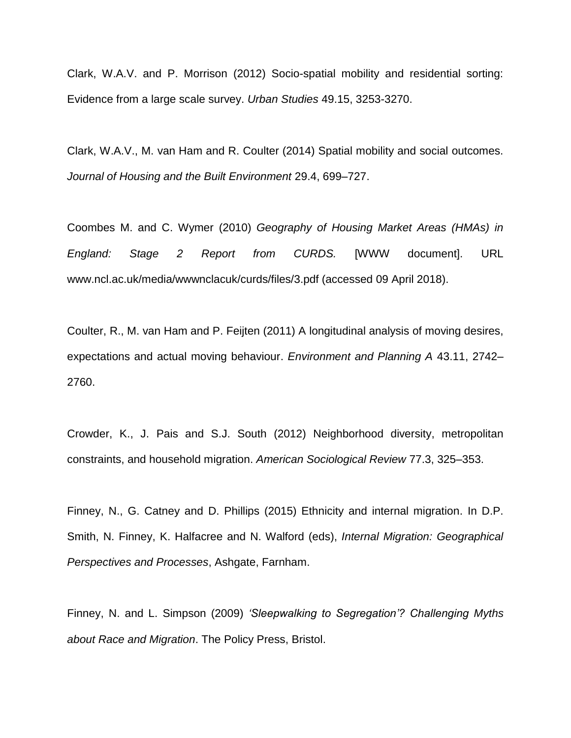Clark, W.A.V. and P. Morrison (2012) Socio-spatial mobility and residential sorting: Evidence from a large scale survey. *Urban Studies* 49.15, 3253-3270.

Clark, W.A.V., M. van Ham and R. Coulter (2014) Spatial mobility and social outcomes. *Journal of Housing and the Built Environment* 29.4, 699–727.

Coombes M. and C. Wymer (2010) *Geography of Housing Market Areas (HMAs) in England: Stage 2 Report from CURDS.* [WWW document]. URL www.ncl.ac.uk/media/wwwnclacuk/curds/files/3.pdf (accessed 09 April 2018).

Coulter, R., M. van Ham and P. Feijten (2011) A longitudinal analysis of moving desires, expectations and actual moving behaviour. *Environment and Planning A* 43.11, 2742– 2760.

Crowder, K., J. Pais and S.J. South (2012) Neighborhood diversity, metropolitan constraints, and household migration. *American Sociological Review* 77.3, 325–353.

Finney, N., G. Catney and D. Phillips (2015) Ethnicity and internal migration. In D.P. Smith, N. Finney, K. Halfacree and N. Walford (eds), *Internal Migration: Geographical Perspectives and Processes*, Ashgate, Farnham.

Finney, N. and L. Simpson (2009) *'Sleepwalking to Segregation'? Challenging Myths about Race and Migration*. The Policy Press, Bristol.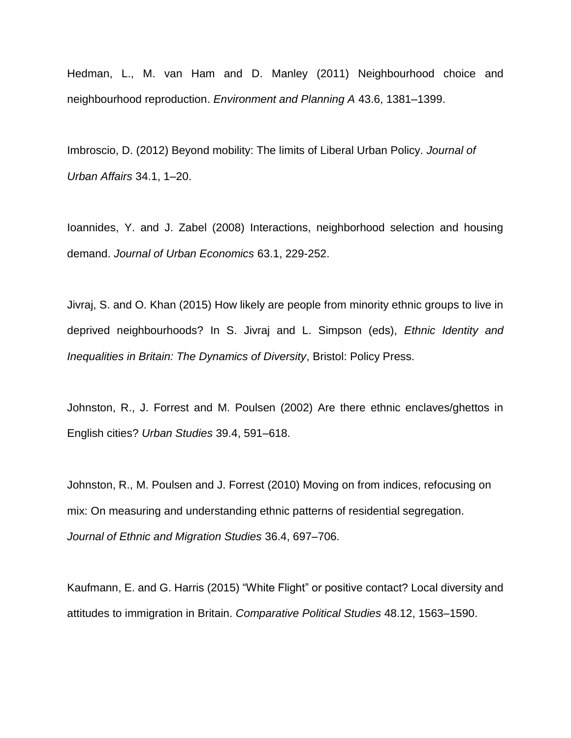Hedman, L., M. van Ham and D. Manley (2011) Neighbourhood choice and neighbourhood reproduction. *Environment and Planning A* 43.6, 1381–1399.

Imbroscio, D. (2012) Beyond mobility: The limits of Liberal Urban Policy. *Journal of Urban Affairs* 34.1, 1–20.

Ioannides, Y. and J. Zabel (2008) [Interactions, neighborhood selection and housing](https://ideas.repec.org/a/eee/juecon/v63y2008i1p229-252.html)  [demand.](https://ideas.repec.org/a/eee/juecon/v63y2008i1p229-252.html) *[Journal of Urban Economics](https://ideas.repec.org/s/eee/juecon.html)* 63.1, 229-252.

Jivraj, S. and O. Khan (2015) How likely are people from minority ethnic groups to live in deprived neighbourhoods? In S. Jivraj and L. Simpson (eds), *Ethnic Identity and Inequalities in Britain: The Dynamics of Diversity*, Bristol: Policy Press.

Johnston, R., J. Forrest and M. Poulsen (2002) Are there ethnic enclaves/ghettos in English cities? *Urban Studies* 39.4, 591–618.

Johnston, R., M. Poulsen and J. Forrest (2010) Moving on from indices, refocusing on mix: On measuring and understanding ethnic patterns of residential segregation. *Journal of Ethnic and Migration Studies* 36.4, 697–706.

Kaufmann, E. and G. Harris (2015) "White Flight" or positive contact? Local diversity and attitudes to immigration in Britain. *Comparative Political Studies* 48.12, 1563–1590.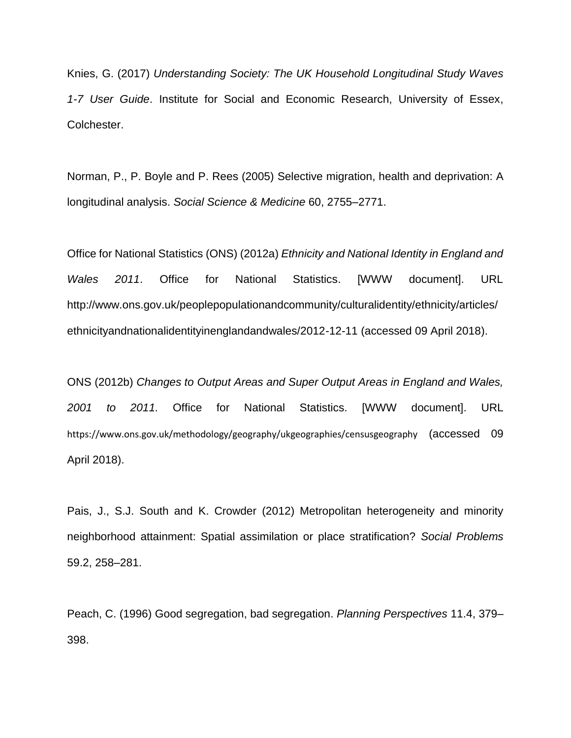Knies, G. (2017) *Understanding Society: The UK Household Longitudinal Study Waves 1-7 User Guide*. Institute for Social and Economic Research, University of Essex, Colchester.

Norman, P., P. Boyle and P. Rees (2005) Selective migration, health and deprivation: A longitudinal analysis. *Social Science & Medicine* 60, 2755–2771.

Office for National Statistics (ONS) (2012a) *Ethnicity and National Identity in England and Wales 2011*. Office for National Statistics. [WWW document]. URL http://www.ons.gov.uk/peoplepopulationandcommunity/culturalidentity/ethnicity/articles/ ethnicityandnationalidentityinenglandandwales/2012-12-11 (accessed 09 April 2018).

ONS (2012b) *Changes to Output Areas and Super Output Areas in England and Wales, 2001 to 2011.* Office for National Statistics. [WWW document]. URL https://www.ons.gov.uk/methodology/geography/ukgeographies/censusgeography (accessed 09 April 2018).

Pais, J., S.J. South and K. Crowder (2012) Metropolitan heterogeneity and minority neighborhood attainment: Spatial assimilation or place stratification? *Social Problems* 59.2, 258–281.

Peach, C. (1996) Good segregation, bad segregation. *Planning Perspectives* 11.4, 379– 398.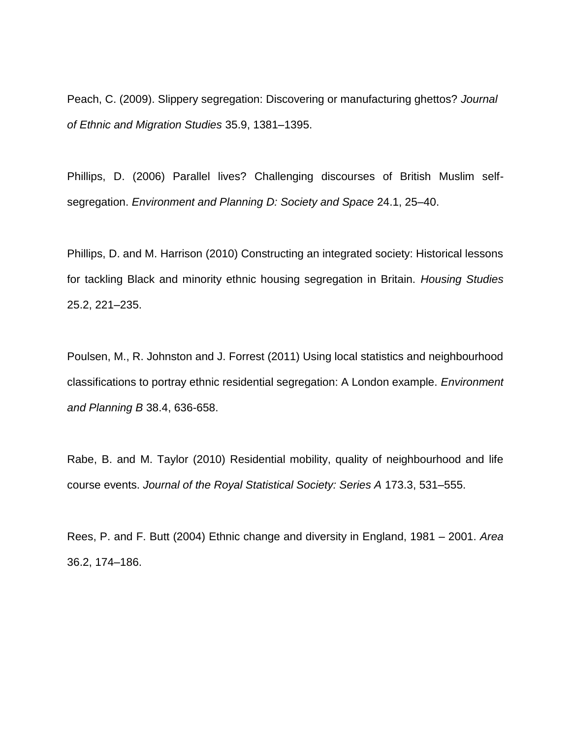Peach, C. (2009). Slippery segregation: Discovering or manufacturing ghettos? *Journal of Ethnic and Migration Studies* 35.9, 1381–1395.

Phillips, D. (2006) Parallel lives? Challenging discourses of British Muslim selfsegregation. *Environment and Planning D: Society and Space* 24.1, 25–40.

Phillips, D. and M. Harrison (2010) Constructing an integrated society: Historical lessons for tackling Black and minority ethnic housing segregation in Britain. *Housing Studies* 25.2, 221–235.

Poulsen, M., R. Johnston and J. Forrest (2011) Using local statistics and neighbourhood classifications to portray ethnic residential segregation: A London example. *Environment and Planning B* 38.4, 636-658.

Rabe, B. and M. Taylor (2010) Residential mobility, quality of neighbourhood and life course events. *Journal of the Royal Statistical Society: Series A* 173.3, 531–555.

Rees, P. and F. Butt (2004) Ethnic change and diversity in England, 1981 – 2001. *Area* 36.2, 174–186.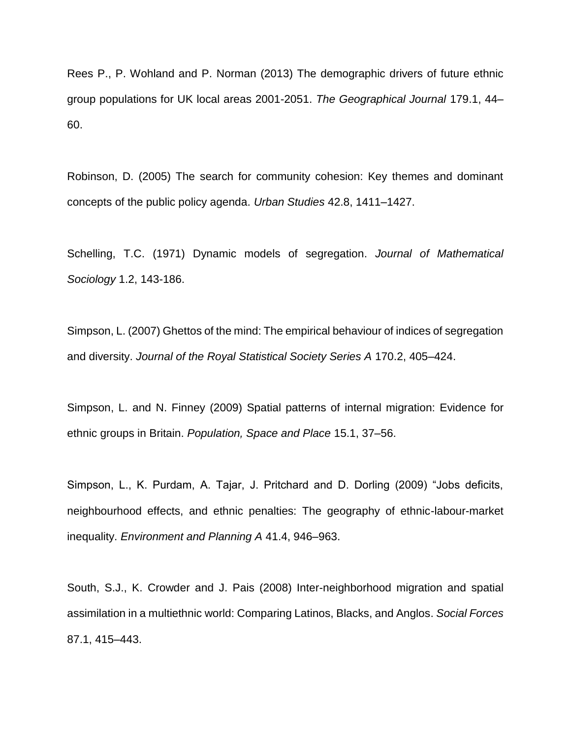Rees P., P. Wohland and P. Norman (2013) The demographic drivers of future ethnic group populations for UK local areas 2001-2051. *The Geographical Journal* 179.1, 44– 60.

Robinson, D. (2005) The search for community cohesion: Key themes and dominant concepts of the public policy agenda. *Urban Studies* 42.8, 1411–1427.

Schelling, T.C. (1971) Dynamic models of segregation. *Journal of Mathematical Sociology* 1.2, 143-186.

Simpson, L. (2007) Ghettos of the mind: The empirical behaviour of indices of segregation and diversity. *Journal of the Royal Statistical Society Series A* 170.2, 405–424.

Simpson, L. and N. Finney (2009) Spatial patterns of internal migration: Evidence for ethnic groups in Britain. *Population, Space and Place* 15.1, 37–56.

Simpson, L., K. Purdam, A. Tajar, J. Pritchard and D. Dorling (2009) "Jobs deficits, neighbourhood effects, and ethnic penalties: The geography of ethnic-labour-market inequality. *Environment and Planning A* 41.4, 946–963.

South, S.J., K. Crowder and J. Pais (2008) Inter-neighborhood migration and spatial assimilation in a multiethnic world: Comparing Latinos, Blacks, and Anglos. *Social Forces* 87.1, 415–443.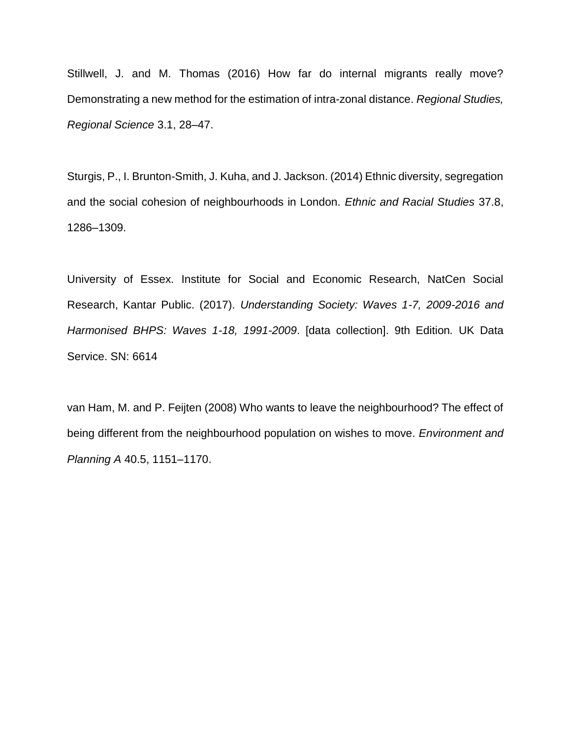Stillwell, J. and M. Thomas (2016) How far do internal migrants really move? Demonstrating a new method for the estimation of intra-zonal distance. *Regional Studies, Regional Science* 3.1, 28–47.

Sturgis, P., I. Brunton-Smith, J. Kuha, and J. Jackson. (2014) Ethnic diversity, segregation and the social cohesion of neighbourhoods in London. *Ethnic and Racial Studies* 37.8, 1286–1309.

University of Essex. Institute for Social and Economic Research, NatCen Social Research, Kantar Public. (2017). *Understanding Society: Waves 1-7, 2009-2016 and Harmonised BHPS: Waves 1-18, 1991-2009*. [data collection]. 9th Edition*.* UK Data Service. SN: 6614

van Ham, M. and P. Feijten (2008) Who wants to leave the neighbourhood? The effect of being different from the neighbourhood population on wishes to move. *Environment and Planning A* 40.5, 1151–1170.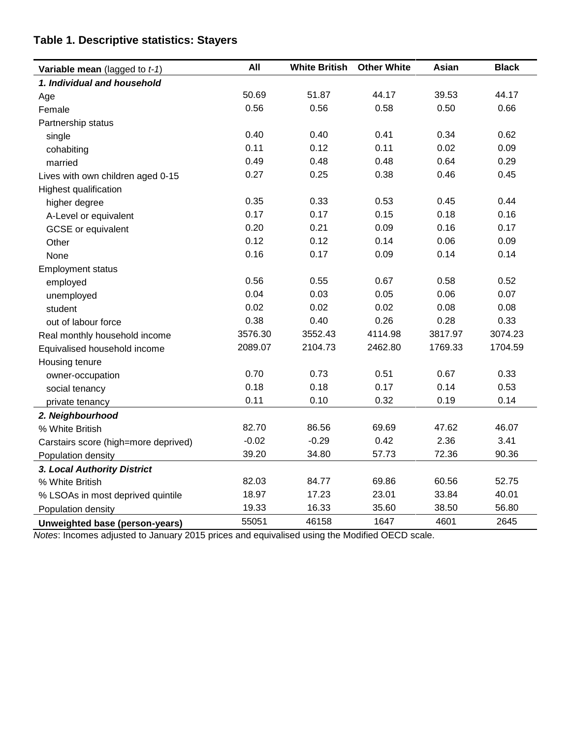| Variable mean (lagged to $t-1$ )     | All     | <b>White British</b>    | <b>Other White</b> | Asian                | <b>Black</b> |  |
|--------------------------------------|---------|-------------------------|--------------------|----------------------|--------------|--|
| 1. Individual and household          |         |                         |                    |                      |              |  |
| Age                                  | 50.69   | 39.53<br>51.87<br>44.17 |                    |                      | 44.17        |  |
| Female                               | 0.56    | 0.56                    | 0.58               | 0.50                 | 0.66         |  |
| Partnership status                   |         |                         |                    |                      |              |  |
| single                               | 0.40    | 0.40                    | 0.41               | 0.34<br>0.02<br>0.64 | 0.62         |  |
| cohabiting                           | 0.11    | 0.12                    | 0.11<br>0.48       |                      | 0.09<br>0.29 |  |
| married                              | 0.49    | 0.48                    |                    |                      |              |  |
| Lives with own children aged 0-15    | 0.27    | 0.25                    | 0.38               | 0.46                 | 0.45         |  |
| Highest qualification                |         |                         |                    |                      |              |  |
| higher degree                        | 0.35    | 0.33                    | 0.53               | 0.45                 | 0.44         |  |
| A-Level or equivalent                | 0.17    | 0.17                    | 0.15               | 0.18                 | 0.16         |  |
| <b>GCSE</b> or equivalent            | 0.20    | 0.21                    | 0.09               | 0.16                 | 0.17         |  |
| Other                                | 0.12    | 0.12                    | 0.14               | 0.06                 | 0.09         |  |
| None                                 | 0.16    | 0.17<br>0.09<br>0.14    |                    |                      | 0.14         |  |
| <b>Employment status</b>             |         |                         |                    |                      |              |  |
| employed                             | 0.56    | 0.55                    | 0.67               | 0.58                 | 0.52         |  |
| unemployed                           | 0.04    | 0.03                    | 0.05               | 0.06                 | 0.07         |  |
| student                              | 0.02    | 0.02                    | 0.02               | 0.08                 | 0.08         |  |
| out of labour force                  | 0.38    | 0.40                    | 0.26               | 0.28                 | 0.33         |  |
| Real monthly household income        | 3576.30 | 3552.43                 | 4114.98            | 3817.97              | 3074.23      |  |
| Equivalised household income         | 2089.07 | 2104.73                 | 2462.80            | 1769.33              | 1704.59      |  |
| Housing tenure                       |         |                         |                    |                      |              |  |
| owner-occupation                     | 0.70    | 0.73                    | 0.51               | 0.67                 | 0.33         |  |
| social tenancy                       | 0.18    | 0.18                    | 0.17               | 0.14                 | 0.53         |  |
| private tenancy                      | 0.11    | 0.10                    | 0.32               | 0.19                 | 0.14         |  |
| 2. Neighbourhood                     |         |                         |                    |                      |              |  |
| % White British                      | 82.70   | 86.56                   | 69.69              | 47.62                | 46.07        |  |
| Carstairs score (high=more deprived) | $-0.02$ | $-0.29$                 | 0.42               | 2.36                 | 3.41         |  |
| Population density                   | 39.20   | 34.80                   | 57.73              | 72.36                | 90.36        |  |
| 3. Local Authority District          |         |                         |                    |                      |              |  |
| % White British                      | 82.03   | 84.77                   | 69.86              | 60.56                | 52.75        |  |
| % LSOAs in most deprived quintile    | 18.97   | 17.23                   | 23.01              | 33.84                | 40.01        |  |
| Population density                   | 19.33   | 16.33                   | 35.60              | 38.50                | 56.80        |  |
| Unweighted base (person-years)       | 55051   | 46158                   | 1647               | 4601                 | 2645         |  |

# **Table 1. Descriptive statistics: Stayers**

*Notes*: Incomes adjusted to January 2015 prices and equivalised using the Modified OECD scale.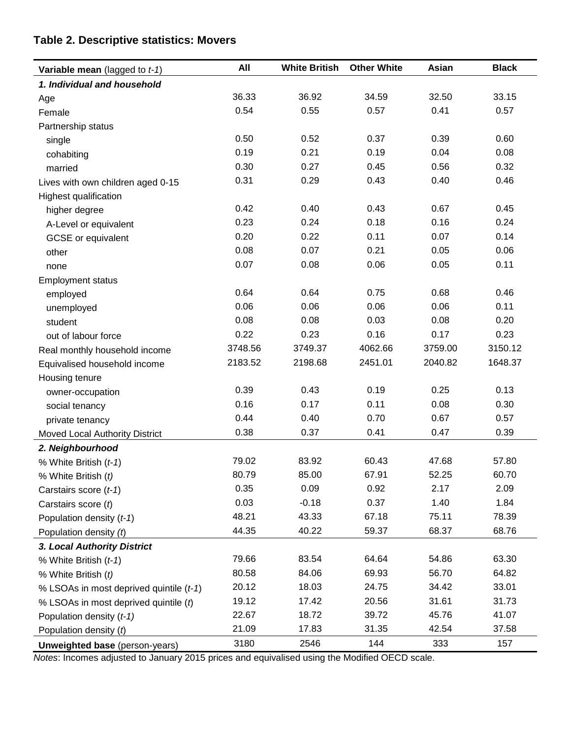# **Table 2. Descriptive statistics: Movers**

| Variable mean (lagged to $t-1$ )        | All     | <b>White British</b> | <b>Other White</b> | Asian   | <b>Black</b> |  |
|-----------------------------------------|---------|----------------------|--------------------|---------|--------------|--|
| 1. Individual and household             |         |                      |                    |         |              |  |
| Age                                     | 36.33   | 36.92<br>34.59       |                    | 32.50   | 33.15        |  |
| Female                                  | 0.54    | 0.55                 | 0.57               | 0.41    | 0.57         |  |
| Partnership status                      |         |                      |                    |         |              |  |
| single                                  | 0.50    | 0.52                 | 0.37               | 0.39    | 0.60         |  |
| cohabiting                              | 0.19    | 0.21                 | 0.19               | 0.04    | 0.08         |  |
| married                                 | 0.30    | 0.27                 | 0.45               | 0.56    | 0.32         |  |
| Lives with own children aged 0-15       | 0.31    | 0.29                 | 0.43               | 0.40    | 0.46         |  |
| Highest qualification                   |         |                      |                    |         |              |  |
| higher degree                           | 0.42    | 0.40                 | 0.43               | 0.67    | 0.45         |  |
| A-Level or equivalent                   | 0.23    | 0.24                 | 0.18               | 0.16    | 0.24         |  |
| <b>GCSE</b> or equivalent               | 0.20    | 0.22                 | 0.11               | 0.07    | 0.14         |  |
| other                                   | 0.08    | 0.07                 | 0.21               | 0.05    | 0.06         |  |
| none                                    | 0.07    | 0.08                 | 0.06               | 0.05    | 0.11         |  |
| <b>Employment status</b>                |         |                      |                    |         |              |  |
| employed                                | 0.64    | 0.64                 | 0.75               | 0.68    | 0.46         |  |
| unemployed                              | 0.06    | 0.06                 | 0.06               | 0.06    | 0.11         |  |
| student                                 | 0.08    | 0.08                 | 0.03               | 0.08    | 0.20         |  |
| out of labour force                     | 0.22    | 0.23                 | 0.16               | 0.17    | 0.23         |  |
| Real monthly household income           | 3748.56 | 3749.37              | 4062.66            | 3759.00 | 3150.12      |  |
| Equivalised household income            | 2183.52 | 2198.68              | 2451.01            | 2040.82 | 1648.37      |  |
| Housing tenure                          |         |                      |                    |         |              |  |
| owner-occupation                        | 0.39    | 0.43                 | 0.19               | 0.25    | 0.13         |  |
| social tenancy                          | 0.16    | 0.17                 | 0.11               | 0.08    | 0.30         |  |
| private tenancy                         | 0.44    | 0.40                 | 0.70               | 0.67    | 0.57         |  |
| Moved Local Authority District          | 0.38    | 0.37                 | 0.41               | 0.47    | 0.39         |  |
| 2. Neighbourhood                        |         |                      |                    |         |              |  |
| % White British (t-1)                   | 79.02   | 83.92                | 60.43              | 47.68   | 57.80        |  |
| % White British (t)                     | 80.79   | 85.00                | 67.91              | 52.25   | 60.70        |  |
| Carstairs score (t-1)                   | 0.35    | 0.09                 | 0.92               | 2.17    | 2.09         |  |
| Carstairs score (t)                     | 0.03    | $-0.18$              | 0.37               | 1.40    | 1.84         |  |
| Population density (t-1)                | 48.21   | 43.33                | 67.18              | 75.11   | 78.39        |  |
| Population density (t)                  | 44.35   | 40.22                | 59.37              | 68.37   | 68.76        |  |
| 3. Local Authority District             |         |                      |                    |         |              |  |
| % White British (t-1)                   | 79.66   | 83.54                | 64.64              | 54.86   | 63.30        |  |
| % White British (t)                     | 80.58   | 84.06                | 69.93              | 56.70   | 64.82        |  |
| % LSOAs in most deprived quintile (t-1) | 20.12   | 18.03                | 24.75              | 34.42   | 33.01        |  |
| % LSOAs in most deprived quintile (t)   | 19.12   | 17.42                | 20.56              | 31.61   | 31.73        |  |
| Population density (t-1)                | 22.67   | 18.72                | 39.72              | 45.76   | 41.07        |  |
| Population density $(t)$                | 21.09   | 17.83                | 31.35              | 42.54   | 37.58        |  |
| <b>Unweighted base</b> (person-years)   | 3180    | 2546                 | 144                | 333     | 157          |  |

*Notes*: Incomes adjusted to January 2015 prices and equivalised using the Modified OECD scale.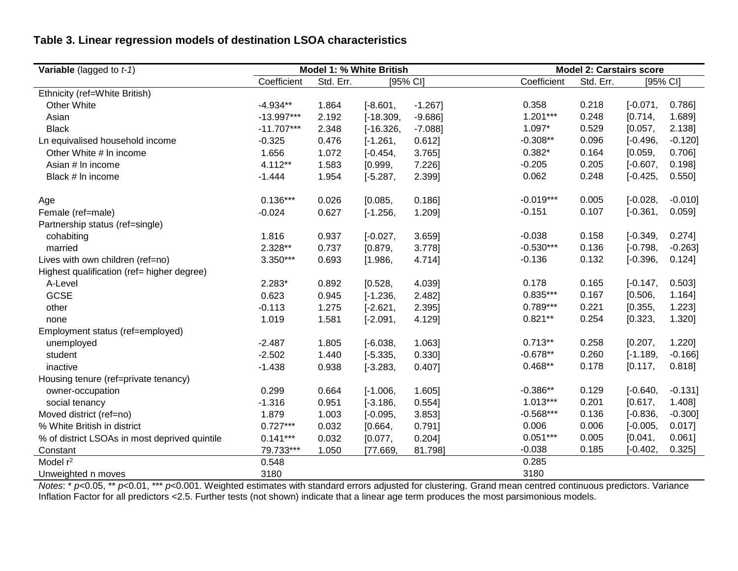# **Table 3. Linear regression models of destination LSOA characteristics**

| <b>Variable</b> (lagged to $t-1$ )            | Model 1: % White British |           |             | <b>Model 2: Carstairs score</b> |             |           |            |            |
|-----------------------------------------------|--------------------------|-----------|-------------|---------------------------------|-------------|-----------|------------|------------|
|                                               | Coefficient              | Std. Err. | [95% CI]    |                                 | Coefficient | Std. Err. | [95% CI]   |            |
| Ethnicity (ref=White British)                 |                          |           |             |                                 |             |           |            |            |
| Other White                                   | $-4.934**$               | 1.864     | $[-8.601,$  | $-1.267$ ]                      | 0.358       | 0.218     | $[-0.071,$ | $0.786$ ]  |
| Asian                                         | $-13.997***$             | 2.192     | $[-18.309,$ | $-9.686$ ]                      | $1.201***$  | 0.248     | [0.714,    | 1.689]     |
| <b>Black</b>                                  | $-11.707***$             | 2.348     | $[-16.326,$ | $-7.088$ ]                      | $1.097*$    | 0.529     | [0.057,    | 2.138]     |
| Ln equivalised household income               | $-0.325$                 | 0.476     | $[-1.261,$  | 0.612]                          | $-0.308**$  | 0.096     | $[-0.496,$ | $-0.120$ ] |
| Other White # In income                       | 1.656                    | 1.072     | $[-0.454,$  | $3.765$ ]                       | $0.382*$    | 0.164     | [0.059,    | $0.706$ ]  |
| Asian # In income                             | 4.112**                  | 1.583     | [0.999,     | 7.226]                          | $-0.205$    | 0.205     | $[-0.607,$ | 0.198]     |
| Black # In income                             | $-1.444$                 | 1.954     | $[-5.287,$  | 2.399]                          | 0.062       | 0.248     | $[-0.425,$ | 0.550]     |
| Age                                           | $0.136***$               | 0.026     | [0.085,     | $0.186$ ]                       | $-0.019***$ | 0.005     | $[-0.028,$ | $-0.010$ ] |
| Female (ref=male)                             | $-0.024$                 | 0.627     | $[-1.256,$  | 1.209]                          | $-0.151$    | 0.107     | $[-0.361,$ | 0.059]     |
| Partnership status (ref=single)               |                          |           |             |                                 |             |           |            |            |
| cohabiting                                    | 1.816                    | 0.937     | $[-0.027,$  | 3.659                           | $-0.038$    | 0.158     | $[-0.349,$ | 0.274]     |
| married                                       | 2.328**                  | 0.737     | [0.879,     | 3.778]                          | $-0.530***$ | 0.136     | $[-0.798,$ | $-0.263]$  |
| Lives with own children (ref=no)              | 3.350***                 | 0.693     | [1.986,     | 4.714]                          | $-0.136$    | 0.132     | $[-0.396,$ | 0.124]     |
| Highest qualification (ref= higher degree)    |                          |           |             |                                 |             |           |            |            |
| A-Level                                       | $2.283*$                 | 0.892     | [0.528,     | 4.039]                          | 0.178       | 0.165     | $[-0.147,$ | 0.503]     |
| <b>GCSE</b>                                   | 0.623                    | 0.945     | $[-1.236,$  | 2.482]                          | $0.835***$  | 0.167     | [0.506,    | 1.164]     |
| other                                         | $-0.113$                 | 1.275     | $[-2.621,$  | 2.395]                          | $0.789***$  | 0.221     | [0.355,    | 1.223]     |
| none                                          | 1.019                    | 1.581     | $[-2.091,$  | 4.129]                          | $0.821**$   | 0.254     | [0.323,    | 1.320]     |
| Employment status (ref=employed)              |                          |           |             |                                 |             |           |            |            |
| unemployed                                    | $-2.487$                 | 1.805     | $[-6.038,$  | 1.063]                          | $0.713**$   | 0.258     | [0.207,    | 1.220]     |
| student                                       | $-2.502$                 | 1.440     | $[-5.335,$  | 0.330]                          | $-0.678**$  | 0.260     | $[-1.189,$ | $-0.166$ ] |
| inactive                                      | $-1.438$                 | 0.938     | $[-3.283,$  | $0.407$ ]                       | $0.468**$   | 0.178     | [0.117,    | 0.818]     |
| Housing tenure (ref=private tenancy)          |                          |           |             |                                 |             |           |            |            |
| owner-occupation                              | 0.299                    | 0.664     | $[-1.006,$  | 1.605]                          | $-0.386**$  | 0.129     | $[-0.640,$ | $-0.131$ ] |
| social tenancy                                | $-1.316$                 | 0.951     | $[-3.186,$  | 0.554]                          | $1.013***$  | 0.201     | [0.617,    | 1.408]     |
| Moved district (ref=no)                       | 1.879                    | 1.003     | $[-0.095,$  | 3.853]                          | $-0.568***$ | 0.136     | $[-0.836,$ | $-0.300$ ] |
| % White British in district                   | $0.727***$               | 0.032     | [0.664,     | 0.791]                          | 0.006       | 0.006     | $[-0.005,$ | $0.017$ ]  |
| % of district LSOAs in most deprived quintile | $0.141***$               | 0.032     | [0.077,     | 0.204]                          | $0.051***$  | 0.005     | [0.041,    | 0.061]     |
| Constant                                      | 79.733***                | 1.050     | [77.669,    | 81.798]                         | $-0.038$    | 0.185     | $[-0.402,$ | $0.325$ ]  |
| Model r <sup>2</sup>                          | 0.548                    |           |             |                                 | 0.285       |           |            |            |
| Unweighted n moves                            | 3180                     |           |             |                                 | 3180        |           |            |            |

*Notes*: \* *p*<0.05, \*\* *p*<0.01, \*\*\* *p*<0.001. Weighted estimates with standard errors adjusted for clustering. Grand mean centred continuous predictors. Variance Inflation Factor for all predictors <2.5. Further tests (not shown) indicate that a linear age term produces the most parsimonious models.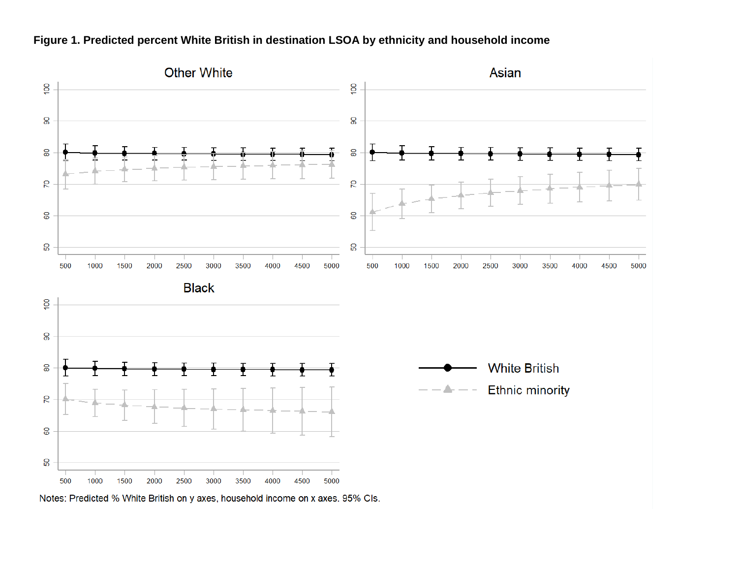

## **Figure 1. Predicted percent White British in destination LSOA by ethnicity and household income**

Notes: Predicted % White British on y axes, household income on x axes. 95% CIs.